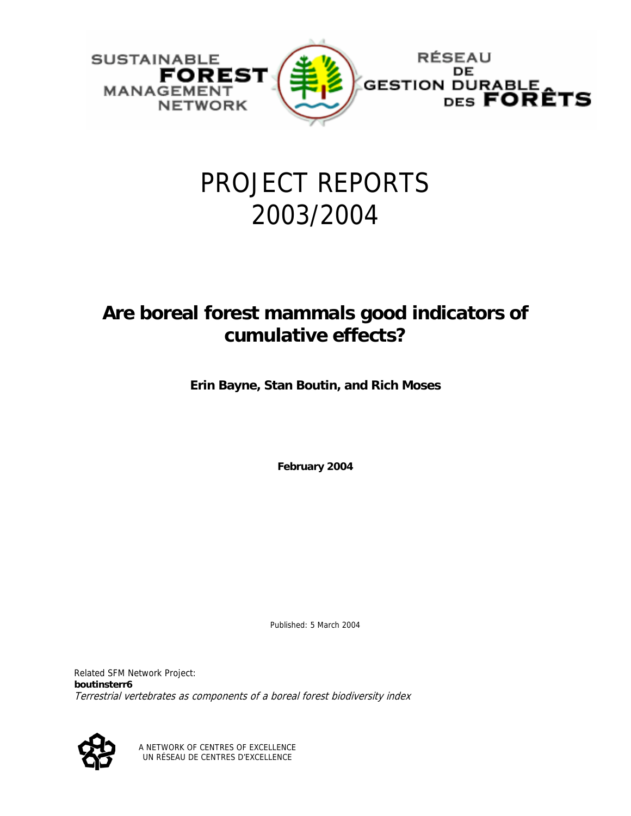

# PROJECT REPORTS 2003/2004

# **Are boreal forest mammals good indicators of cumulative effects?**

**Erin Bayne, Stan Boutin, and Rich Moses** 

**February 2004** 

Published: 5 March 2004

Related SFM Network Project: **boutinsterr6**  Terrestrial vertebrates as components of a boreal forest biodiversity index



A NETWORK OF CENTRES OF EXCELLENCE UN RÉSEAU DE CENTRES D'EXCELLENCE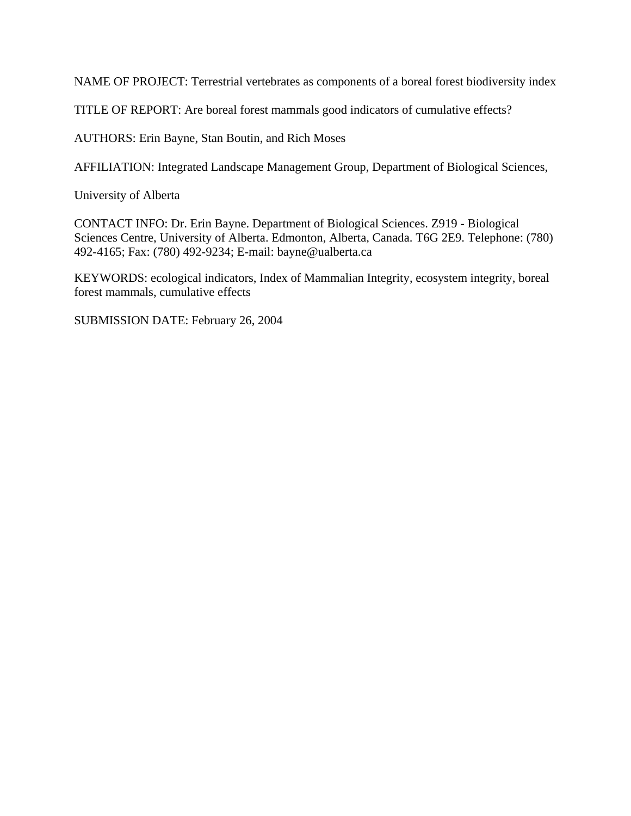NAME OF PROJECT: Terrestrial vertebrates as components of a boreal forest biodiversity index

TITLE OF REPORT: Are boreal forest mammals good indicators of cumulative effects?

AUTHORS: Erin Bayne, Stan Boutin, and Rich Moses

AFFILIATION: Integrated Landscape Management Group, Department of Biological Sciences,

University of Alberta

CONTACT INFO: Dr. Erin Bayne. Department of Biological Sciences. Z919 - Biological Sciences Centre, University of Alberta. Edmonton, Alberta, Canada. T6G 2E9. Telephone: (780) 492-4165; Fax: (780) 492-9234; E-mail: bayne@ualberta.ca

KEYWORDS: ecological indicators, Index of Mammalian Integrity, ecosystem integrity, boreal forest mammals, cumulative effects

SUBMISSION DATE: February 26, 2004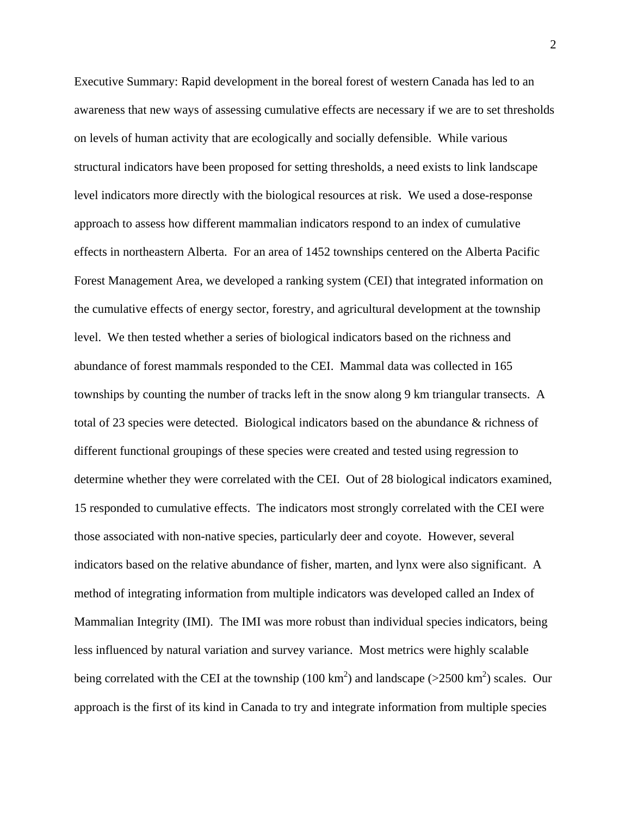Executive Summary: Rapid development in the boreal forest of western Canada has led to an awareness that new ways of assessing cumulative effects are necessary if we are to set thresholds on levels of human activity that are ecologically and socially defensible. While various structural indicators have been proposed for setting thresholds, a need exists to link landscape level indicators more directly with the biological resources at risk. We used a dose-response approach to assess how different mammalian indicators respond to an index of cumulative effects in northeastern Alberta. For an area of 1452 townships centered on the Alberta Pacific Forest Management Area, we developed a ranking system (CEI) that integrated information on the cumulative effects of energy sector, forestry, and agricultural development at the township level. We then tested whether a series of biological indicators based on the richness and abundance of forest mammals responded to the CEI. Mammal data was collected in 165 townships by counting the number of tracks left in the snow along 9 km triangular transects. A total of 23 species were detected. Biological indicators based on the abundance & richness of different functional groupings of these species were created and tested using regression to determine whether they were correlated with the CEI. Out of 28 biological indicators examined, 15 responded to cumulative effects. The indicators most strongly correlated with the CEI were those associated with non-native species, particularly deer and coyote. However, several indicators based on the relative abundance of fisher, marten, and lynx were also significant. A method of integrating information from multiple indicators was developed called an Index of Mammalian Integrity (IMI). The IMI was more robust than individual species indicators, being less influenced by natural variation and survey variance. Most metrics were highly scalable being correlated with the CEI at the township (100 km<sup>2</sup>) and landscape (>2500 km<sup>2</sup>) scales. Our approach is the first of its kind in Canada to try and integrate information from multiple species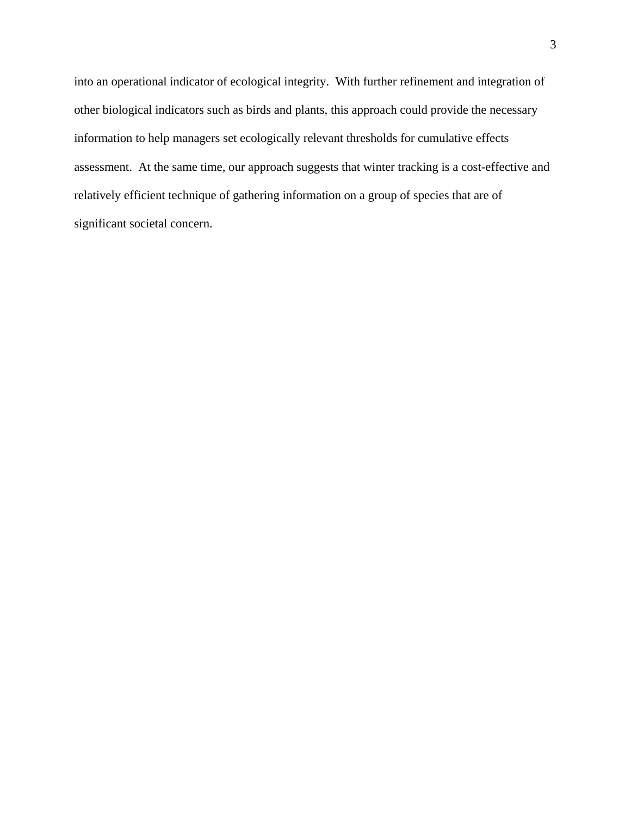into an operational indicator of ecological integrity. With further refinement and integration of other biological indicators such as birds and plants, this approach could provide the necessary information to help managers set ecologically relevant thresholds for cumulative effects assessment. At the same time, our approach suggests that winter tracking is a cost-effective and relatively efficient technique of gathering information on a group of species that are of significant societal concern.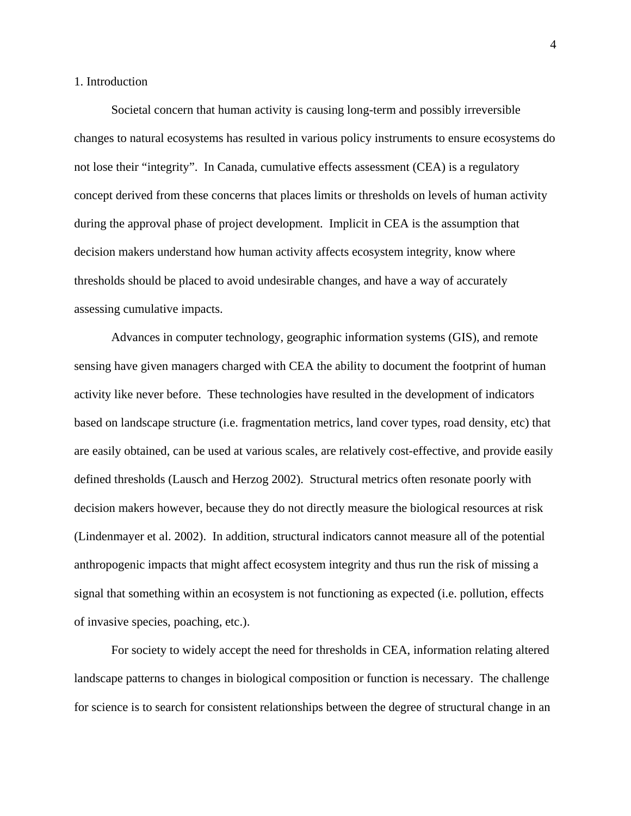# 1. Introduction

Societal concern that human activity is causing long-term and possibly irreversible changes to natural ecosystems has resulted in various policy instruments to ensure ecosystems do not lose their "integrity". In Canada, cumulative effects assessment (CEA) is a regulatory concept derived from these concerns that places limits or thresholds on levels of human activity during the approval phase of project development. Implicit in CEA is the assumption that decision makers understand how human activity affects ecosystem integrity, know where thresholds should be placed to avoid undesirable changes, and have a way of accurately assessing cumulative impacts.

Advances in computer technology, geographic information systems (GIS), and remote sensing have given managers charged with CEA the ability to document the footprint of human activity like never before. These technologies have resulted in the development of indicators based on landscape structure (i.e. fragmentation metrics, land cover types, road density, etc) that are easily obtained, can be used at various scales, are relatively cost-effective, and provide easily defined thresholds (Lausch and Herzog 2002). Structural metrics often resonate poorly with decision makers however, because they do not directly measure the biological resources at risk (Lindenmayer et al. 2002). In addition, structural indicators cannot measure all of the potential anthropogenic impacts that might affect ecosystem integrity and thus run the risk of missing a signal that something within an ecosystem is not functioning as expected (i.e. pollution, effects of invasive species, poaching, etc.).

For society to widely accept the need for thresholds in CEA, information relating altered landscape patterns to changes in biological composition or function is necessary. The challenge for science is to search for consistent relationships between the degree of structural change in an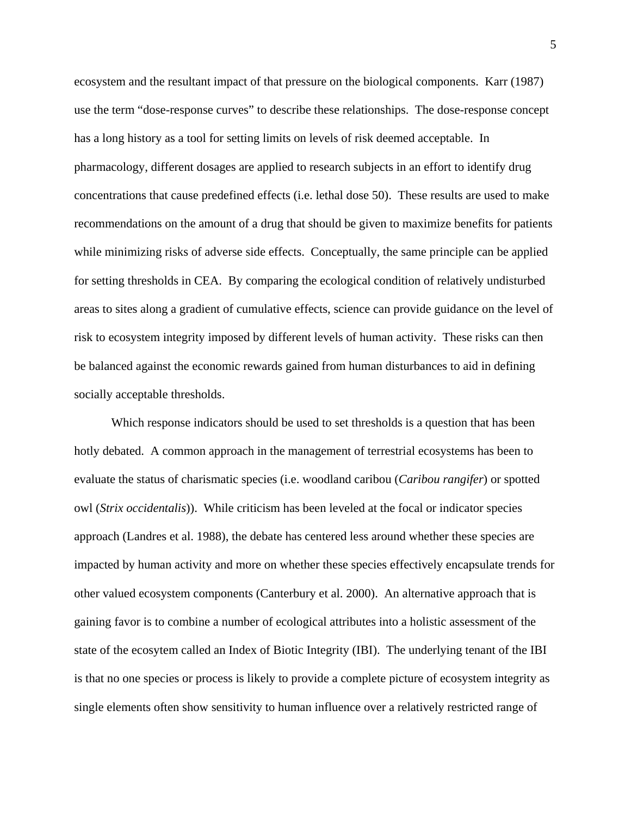ecosystem and the resultant impact of that pressure on the biological components. Karr (1987) use the term "dose-response curves" to describe these relationships. The dose-response concept has a long history as a tool for setting limits on levels of risk deemed acceptable. In pharmacology, different dosages are applied to research subjects in an effort to identify drug concentrations that cause predefined effects (i.e. lethal dose 50). These results are used to make recommendations on the amount of a drug that should be given to maximize benefits for patients while minimizing risks of adverse side effects. Conceptually, the same principle can be applied for setting thresholds in CEA. By comparing the ecological condition of relatively undisturbed areas to sites along a gradient of cumulative effects, science can provide guidance on the level of risk to ecosystem integrity imposed by different levels of human activity. These risks can then be balanced against the economic rewards gained from human disturbances to aid in defining socially acceptable thresholds.

Which response indicators should be used to set thresholds is a question that has been hotly debated. A common approach in the management of terrestrial ecosystems has been to evaluate the status of charismatic species (i.e. woodland caribou (*Caribou rangifer*) or spotted owl (*Strix occidentalis*)). While criticism has been leveled at the focal or indicator species approach (Landres et al. 1988), the debate has centered less around whether these species are impacted by human activity and more on whether these species effectively encapsulate trends for other valued ecosystem components (Canterbury et al. 2000). An alternative approach that is gaining favor is to combine a number of ecological attributes into a holistic assessment of the state of the ecosytem called an Index of Biotic Integrity (IBI). The underlying tenant of the IBI is that no one species or process is likely to provide a complete picture of ecosystem integrity as single elements often show sensitivity to human influence over a relatively restricted range of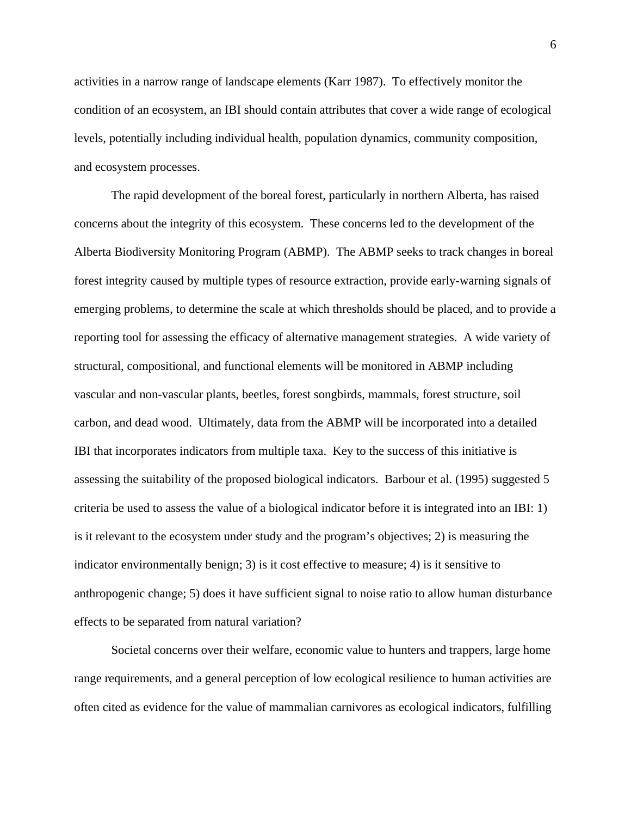activities in a narrow range of landscape elements (Karr 1987). To effectively monitor the condition of an ecosystem, an IBI should contain attributes that cover a wide range of ecological levels, potentially including individual health, population dynamics, community composition, and ecosystem processes.

The rapid development of the boreal forest, particularly in northern Alberta, has raised concerns about the integrity of this ecosystem. These concerns led to the development of the Alberta Biodiversity Monitoring Program (ABMP). The ABMP seeks to track changes in boreal forest integrity caused by multiple types of resource extraction, provide early-warning signals of emerging problems, to determine the scale at which thresholds should be placed, and to provide a reporting tool for assessing the efficacy of alternative management strategies. A wide variety of structural, compositional, and functional elements will be monitored in ABMP including vascular and non-vascular plants, beetles, forest songbirds, mammals, forest structure, soil carbon, and dead wood. Ultimately, data from the ABMP will be incorporated into a detailed IBI that incorporates indicators from multiple taxa. Key to the success of this initiative is assessing the suitability of the proposed biological indicators. Barbour et al. (1995) suggested 5 criteria be used to assess the value of a biological indicator before it is integrated into an IBI: 1) is it relevant to the ecosystem under study and the program's objectives; 2) is measuring the indicator environmentally benign; 3) is it cost effective to measure; 4) is it sensitive to anthropogenic change; 5) does it have sufficient signal to noise ratio to allow human disturbance effects to be separated from natural variation?

Societal concerns over their welfare, economic value to hunters and trappers, large home range requirements, and a general perception of low ecological resilience to human activities are often cited as evidence for the value of mammalian carnivores as ecological indicators, fulfilling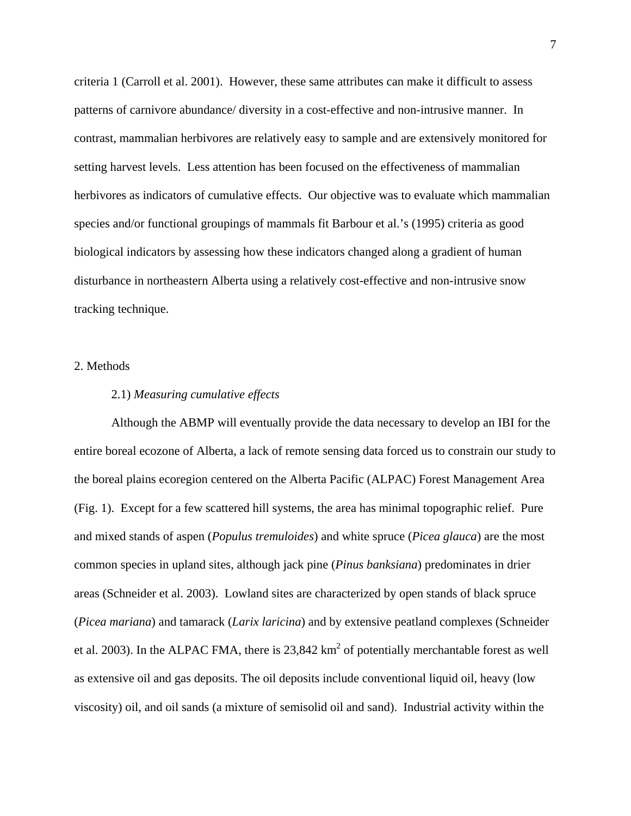criteria 1 (Carroll et al. 2001). However, these same attributes can make it difficult to assess patterns of carnivore abundance/ diversity in a cost-effective and non-intrusive manner. In contrast, mammalian herbivores are relatively easy to sample and are extensively monitored for setting harvest levels. Less attention has been focused on the effectiveness of mammalian herbivores as indicators of cumulative effects. Our objective was to evaluate which mammalian species and/or functional groupings of mammals fit Barbour et al.'s (1995) criteria as good biological indicators by assessing how these indicators changed along a gradient of human disturbance in northeastern Alberta using a relatively cost-effective and non-intrusive snow tracking technique.

#### 2. Methods

# 2.1) *Measuring cumulative effects*

Although the ABMP will eventually provide the data necessary to develop an IBI for the entire boreal ecozone of Alberta, a lack of remote sensing data forced us to constrain our study to the boreal plains ecoregion centered on the Alberta Pacific (ALPAC) Forest Management Area (Fig. 1). Except for a few scattered hill systems, the area has minimal topographic relief. Pure and mixed stands of aspen (*Populus tremuloides*) and white spruce (*Picea glauca*) are the most common species in upland sites, although jack pine (*Pinus banksiana*) predominates in drier areas (Schneider et al. 2003). Lowland sites are characterized by open stands of black spruce (*Picea mariana*) and tamarack (*Larix laricina*) and by extensive peatland complexes (Schneider et al. 2003). In the ALPAC FMA, there is  $23,842 \text{ km}^2$  of potentially merchantable forest as well as extensive oil and gas deposits. The oil deposits include conventional liquid oil, heavy (low viscosity) oil, and oil sands (a mixture of semisolid oil and sand). Industrial activity within the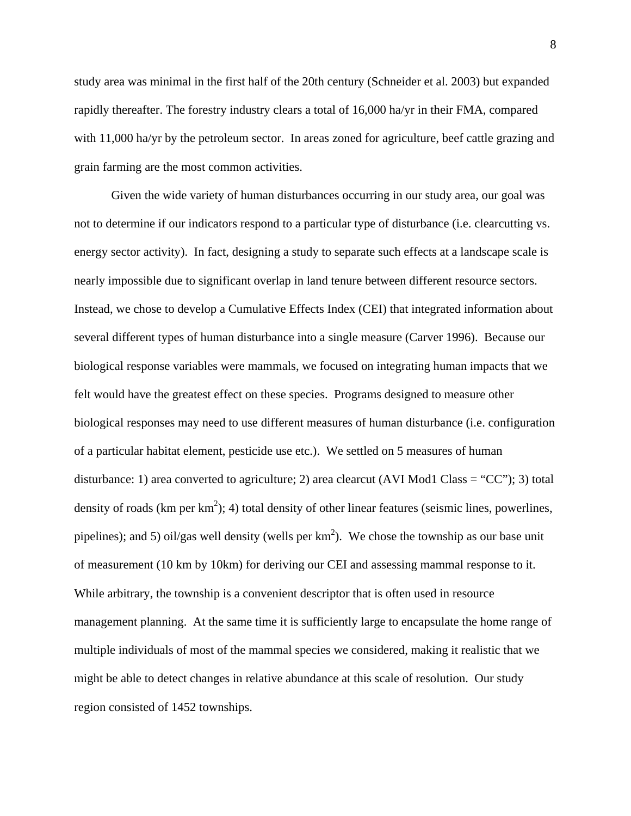study area was minimal in the first half of the 20th century (Schneider et al. 2003) but expanded rapidly thereafter. The forestry industry clears a total of 16,000 ha/yr in their FMA, compared with 11,000 ha/yr by the petroleum sector. In areas zoned for agriculture, beef cattle grazing and grain farming are the most common activities.

Given the wide variety of human disturbances occurring in our study area, our goal was not to determine if our indicators respond to a particular type of disturbance (i.e. clearcutting vs. energy sector activity). In fact, designing a study to separate such effects at a landscape scale is nearly impossible due to significant overlap in land tenure between different resource sectors. Instead, we chose to develop a Cumulative Effects Index (CEI) that integrated information about several different types of human disturbance into a single measure (Carver 1996). Because our biological response variables were mammals, we focused on integrating human impacts that we felt would have the greatest effect on these species. Programs designed to measure other biological responses may need to use different measures of human disturbance (i.e. configuration of a particular habitat element, pesticide use etc.). We settled on 5 measures of human disturbance: 1) area converted to agriculture; 2) area clearcut (AVI Mod1 Class = "CC"); 3) total density of roads (km per  $km^2$ ); 4) total density of other linear features (seismic lines, powerlines, pipelines); and 5) oil/gas well density (wells per  $km^2$ ). We chose the township as our base unit of measurement (10 km by 10km) for deriving our CEI and assessing mammal response to it. While arbitrary, the township is a convenient descriptor that is often used in resource management planning. At the same time it is sufficiently large to encapsulate the home range of multiple individuals of most of the mammal species we considered, making it realistic that we might be able to detect changes in relative abundance at this scale of resolution. Our study region consisted of 1452 townships.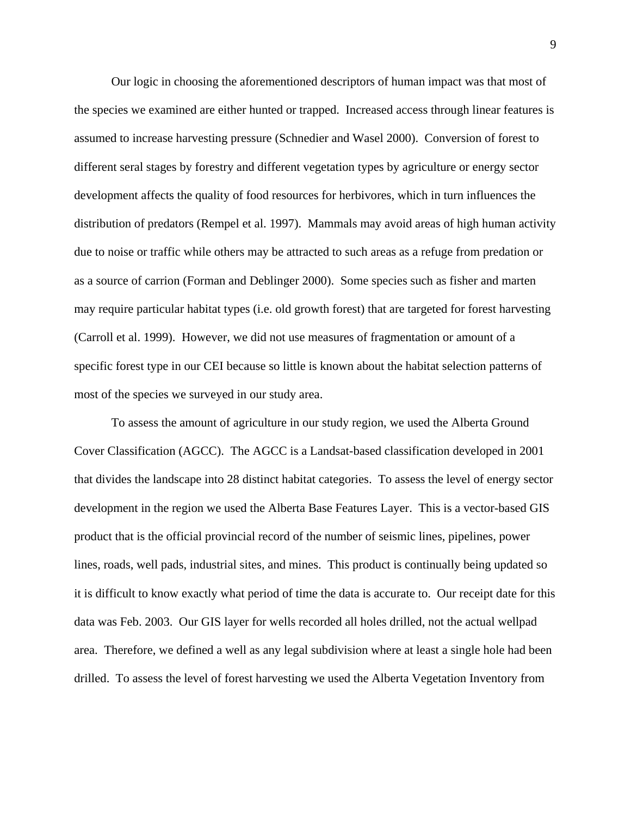Our logic in choosing the aforementioned descriptors of human impact was that most of the species we examined are either hunted or trapped. Increased access through linear features is assumed to increase harvesting pressure (Schnedier and Wasel 2000). Conversion of forest to different seral stages by forestry and different vegetation types by agriculture or energy sector development affects the quality of food resources for herbivores, which in turn influences the distribution of predators (Rempel et al. 1997). Mammals may avoid areas of high human activity due to noise or traffic while others may be attracted to such areas as a refuge from predation or as a source of carrion (Forman and Deblinger 2000). Some species such as fisher and marten may require particular habitat types (i.e. old growth forest) that are targeted for forest harvesting (Carroll et al. 1999). However, we did not use measures of fragmentation or amount of a specific forest type in our CEI because so little is known about the habitat selection patterns of most of the species we surveyed in our study area.

To assess the amount of agriculture in our study region, we used the Alberta Ground Cover Classification (AGCC). The AGCC is a Landsat-based classification developed in 2001 that divides the landscape into 28 distinct habitat categories. To assess the level of energy sector development in the region we used the Alberta Base Features Layer. This is a vector-based GIS product that is the official provincial record of the number of seismic lines, pipelines, power lines, roads, well pads, industrial sites, and mines. This product is continually being updated so it is difficult to know exactly what period of time the data is accurate to. Our receipt date for this data was Feb. 2003. Our GIS layer for wells recorded all holes drilled, not the actual wellpad area. Therefore, we defined a well as any legal subdivision where at least a single hole had been drilled. To assess the level of forest harvesting we used the Alberta Vegetation Inventory from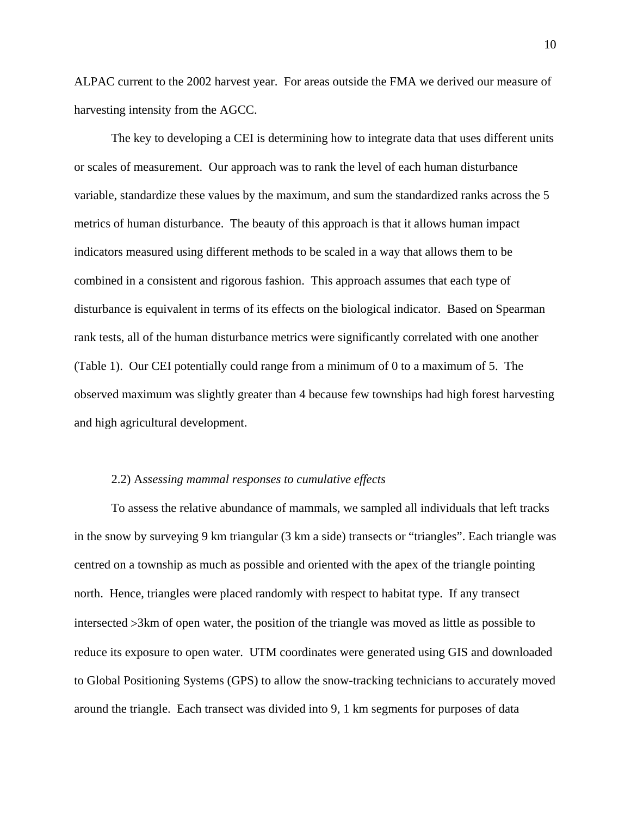ALPAC current to the 2002 harvest year. For areas outside the FMA we derived our measure of harvesting intensity from the AGCC.

The key to developing a CEI is determining how to integrate data that uses different units or scales of measurement. Our approach was to rank the level of each human disturbance variable, standardize these values by the maximum, and sum the standardized ranks across the 5 metrics of human disturbance. The beauty of this approach is that it allows human impact indicators measured using different methods to be scaled in a way that allows them to be combined in a consistent and rigorous fashion. This approach assumes that each type of disturbance is equivalent in terms of its effects on the biological indicator. Based on Spearman rank tests, all of the human disturbance metrics were significantly correlated with one another (Table 1). Our CEI potentially could range from a minimum of 0 to a maximum of 5. The observed maximum was slightly greater than 4 because few townships had high forest harvesting and high agricultural development.

#### 2.2) A*ssessing mammal responses to cumulative effects*

To assess the relative abundance of mammals, we sampled all individuals that left tracks in the snow by surveying 9 km triangular (3 km a side) transects or "triangles". Each triangle was centred on a township as much as possible and oriented with the apex of the triangle pointing north. Hence, triangles were placed randomly with respect to habitat type. If any transect intersected >3km of open water, the position of the triangle was moved as little as possible to reduce its exposure to open water. UTM coordinates were generated using GIS and downloaded to Global Positioning Systems (GPS) to allow the snow-tracking technicians to accurately moved around the triangle. Each transect was divided into 9, 1 km segments for purposes of data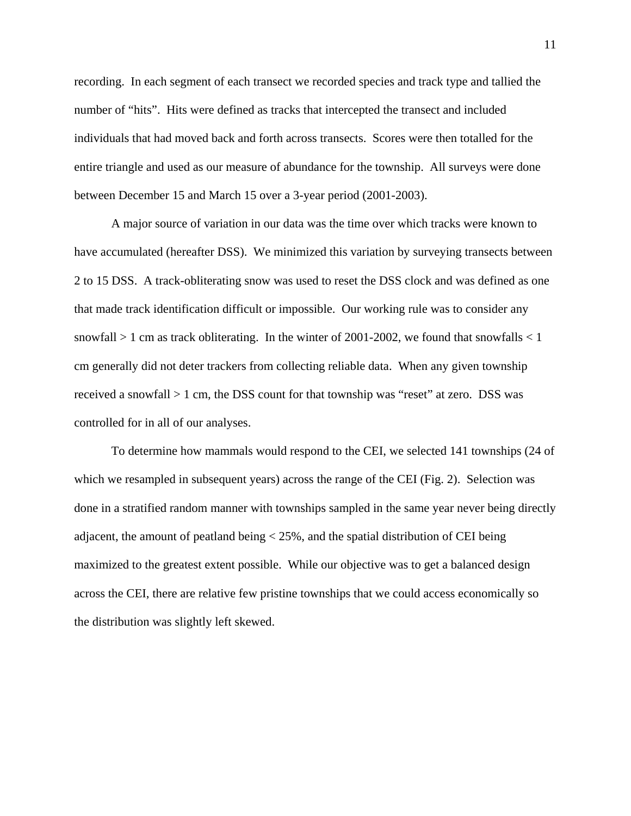recording. In each segment of each transect we recorded species and track type and tallied the number of "hits". Hits were defined as tracks that intercepted the transect and included individuals that had moved back and forth across transects. Scores were then totalled for the entire triangle and used as our measure of abundance for the township. All surveys were done between December 15 and March 15 over a 3-year period (2001-2003).

A major source of variation in our data was the time over which tracks were known to have accumulated (hereafter DSS). We minimized this variation by surveying transects between 2 to 15 DSS. A track-obliterating snow was used to reset the DSS clock and was defined as one that made track identification difficult or impossible. Our working rule was to consider any snowfall  $> 1$  cm as track obliterating. In the winter of 2001-2002, we found that snowfalls  $< 1$ cm generally did not deter trackers from collecting reliable data. When any given township received a snowfall > 1 cm, the DSS count for that township was "reset" at zero. DSS was controlled for in all of our analyses.

To determine how mammals would respond to the CEI, we selected 141 townships (24 of which we resampled in subsequent years) across the range of the CEI (Fig. 2). Selection was done in a stratified random manner with townships sampled in the same year never being directly adjacent, the amount of peatland being  $<$  25%, and the spatial distribution of CEI being maximized to the greatest extent possible. While our objective was to get a balanced design across the CEI, there are relative few pristine townships that we could access economically so the distribution was slightly left skewed.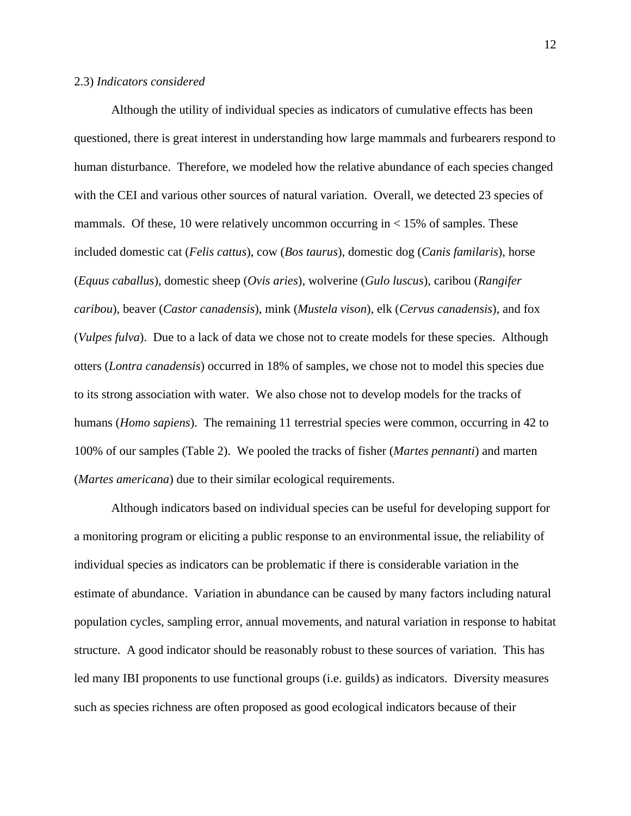#### 2.3) *Indicators considered*

Although the utility of individual species as indicators of cumulative effects has been questioned, there is great interest in understanding how large mammals and furbearers respond to human disturbance. Therefore, we modeled how the relative abundance of each species changed with the CEI and various other sources of natural variation. Overall, we detected 23 species of mammals. Of these, 10 were relatively uncommon occurring in  $<$  15% of samples. These included domestic cat (*Felis cattus*), cow (*Bos taurus*), domestic dog (*Canis familaris*), horse (*Equus caballus*), domestic sheep (*Ovis aries*), wolverine (*Gulo luscus*), caribou (*Rangifer caribou*), beaver (*Castor canadensis*), mink (*Mustela vison*), elk (*Cervus canadensis*), and fox (*Vulpes fulva*). Due to a lack of data we chose not to create models for these species. Although otters (*Lontra canadensis*) occurred in 18% of samples, we chose not to model this species due to its strong association with water. We also chose not to develop models for the tracks of humans (*Homo sapiens*). The remaining 11 terrestrial species were common, occurring in 42 to 100% of our samples (Table 2). We pooled the tracks of fisher (*Martes pennanti*) and marten (*Martes americana*) due to their similar ecological requirements.

Although indicators based on individual species can be useful for developing support for a monitoring program or eliciting a public response to an environmental issue, the reliability of individual species as indicators can be problematic if there is considerable variation in the estimate of abundance. Variation in abundance can be caused by many factors including natural population cycles, sampling error, annual movements, and natural variation in response to habitat structure. A good indicator should be reasonably robust to these sources of variation. This has led many IBI proponents to use functional groups (i.e. guilds) as indicators. Diversity measures such as species richness are often proposed as good ecological indicators because of their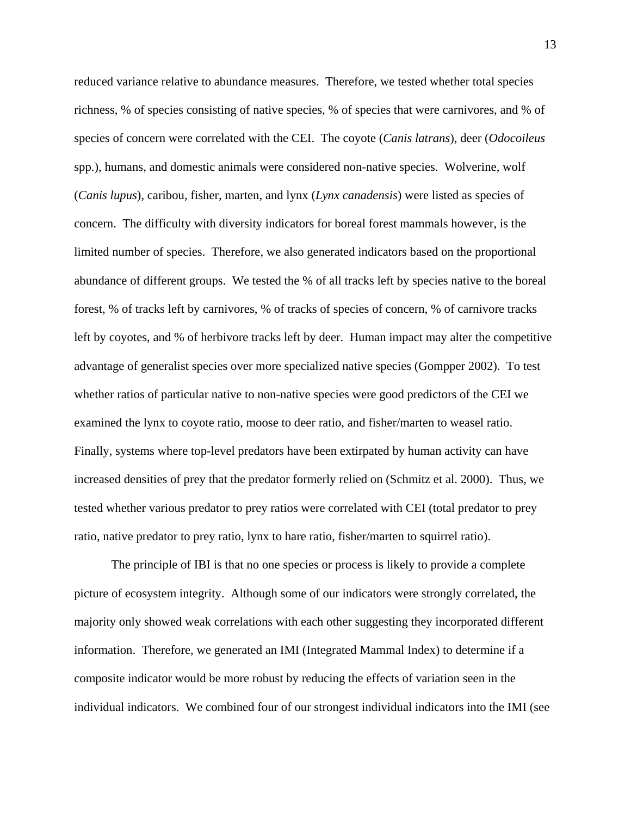reduced variance relative to abundance measures. Therefore, we tested whether total species richness, % of species consisting of native species, % of species that were carnivores, and % of species of concern were correlated with the CEI. The coyote (*Canis latrans*), deer (*Odocoileus*  spp.), humans, and domestic animals were considered non-native species. Wolverine, wolf (*Canis lupus*), caribou, fisher, marten, and lynx (*Lynx canadensis*) were listed as species of concern. The difficulty with diversity indicators for boreal forest mammals however, is the limited number of species. Therefore, we also generated indicators based on the proportional abundance of different groups. We tested the % of all tracks left by species native to the boreal forest, % of tracks left by carnivores, % of tracks of species of concern, % of carnivore tracks left by coyotes, and % of herbivore tracks left by deer. Human impact may alter the competitive advantage of generalist species over more specialized native species (Gompper 2002). To test whether ratios of particular native to non-native species were good predictors of the CEI we examined the lynx to coyote ratio, moose to deer ratio, and fisher/marten to weasel ratio. Finally, systems where top-level predators have been extirpated by human activity can have increased densities of prey that the predator formerly relied on (Schmitz et al. 2000). Thus, we tested whether various predator to prey ratios were correlated with CEI (total predator to prey ratio, native predator to prey ratio, lynx to hare ratio, fisher/marten to squirrel ratio).

The principle of IBI is that no one species or process is likely to provide a complete picture of ecosystem integrity. Although some of our indicators were strongly correlated, the majority only showed weak correlations with each other suggesting they incorporated different information. Therefore, we generated an IMI (Integrated Mammal Index) to determine if a composite indicator would be more robust by reducing the effects of variation seen in the individual indicators. We combined four of our strongest individual indicators into the IMI (see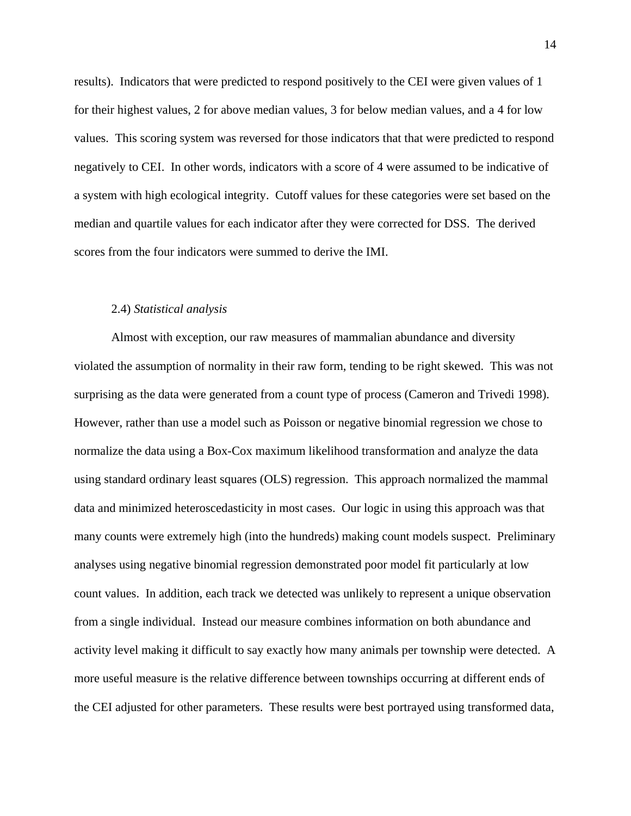results). Indicators that were predicted to respond positively to the CEI were given values of 1 for their highest values, 2 for above median values, 3 for below median values, and a 4 for low values. This scoring system was reversed for those indicators that that were predicted to respond negatively to CEI. In other words, indicators with a score of 4 were assumed to be indicative of a system with high ecological integrity. Cutoff values for these categories were set based on the median and quartile values for each indicator after they were corrected for DSS. The derived scores from the four indicators were summed to derive the IMI.

#### 2.4) *Statistical analysis*

Almost with exception, our raw measures of mammalian abundance and diversity violated the assumption of normality in their raw form, tending to be right skewed. This was not surprising as the data were generated from a count type of process (Cameron and Trivedi 1998). However, rather than use a model such as Poisson or negative binomial regression we chose to normalize the data using a Box-Cox maximum likelihood transformation and analyze the data using standard ordinary least squares (OLS) regression. This approach normalized the mammal data and minimized heteroscedasticity in most cases. Our logic in using this approach was that many counts were extremely high (into the hundreds) making count models suspect. Preliminary analyses using negative binomial regression demonstrated poor model fit particularly at low count values. In addition, each track we detected was unlikely to represent a unique observation from a single individual. Instead our measure combines information on both abundance and activity level making it difficult to say exactly how many animals per township were detected. A more useful measure is the relative difference between townships occurring at different ends of the CEI adjusted for other parameters. These results were best portrayed using transformed data,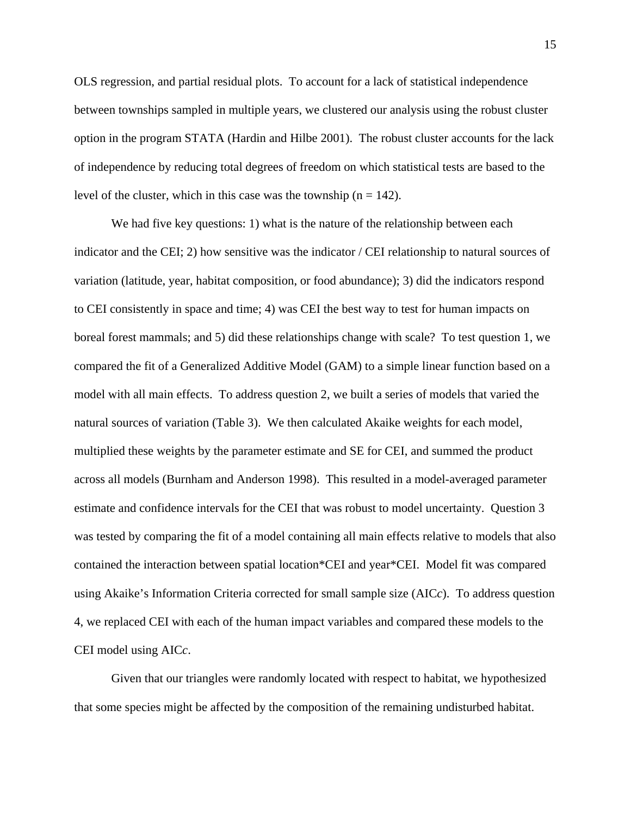OLS regression, and partial residual plots. To account for a lack of statistical independence between townships sampled in multiple years, we clustered our analysis using the robust cluster option in the program STATA (Hardin and Hilbe 2001). The robust cluster accounts for the lack of independence by reducing total degrees of freedom on which statistical tests are based to the level of the cluster, which in this case was the township  $(n = 142)$ .

We had five key questions: 1) what is the nature of the relationship between each indicator and the CEI; 2) how sensitive was the indicator / CEI relationship to natural sources of variation (latitude, year, habitat composition, or food abundance); 3) did the indicators respond to CEI consistently in space and time; 4) was CEI the best way to test for human impacts on boreal forest mammals; and 5) did these relationships change with scale? To test question 1, we compared the fit of a Generalized Additive Model (GAM) to a simple linear function based on a model with all main effects. To address question 2, we built a series of models that varied the natural sources of variation (Table 3). We then calculated Akaike weights for each model, multiplied these weights by the parameter estimate and SE for CEI, and summed the product across all models (Burnham and Anderson 1998). This resulted in a model-averaged parameter estimate and confidence intervals for the CEI that was robust to model uncertainty. Question 3 was tested by comparing the fit of a model containing all main effects relative to models that also contained the interaction between spatial location\*CEI and year\*CEI. Model fit was compared using Akaike's Information Criteria corrected for small sample size (AIC*c*). To address question 4, we replaced CEI with each of the human impact variables and compared these models to the CEI model using AIC*c*.

Given that our triangles were randomly located with respect to habitat, we hypothesized that some species might be affected by the composition of the remaining undisturbed habitat.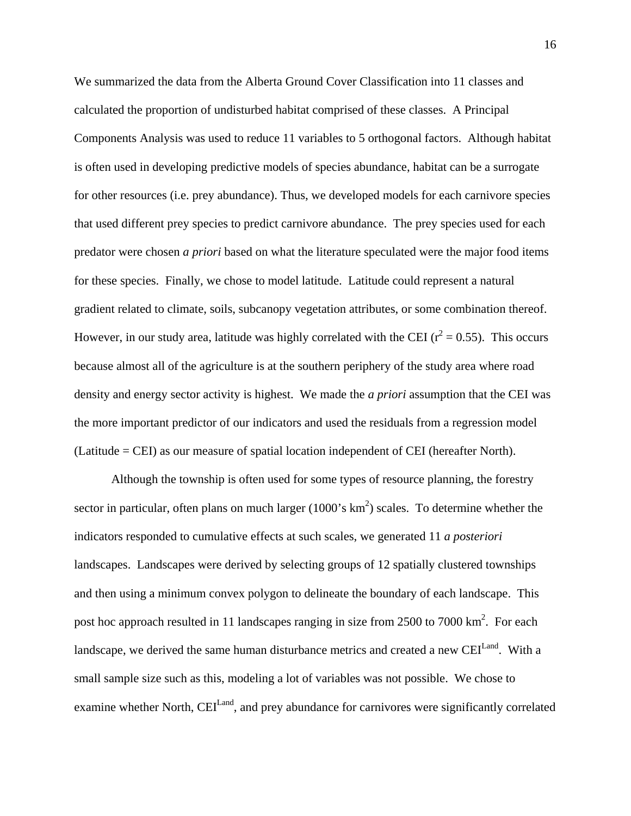We summarized the data from the Alberta Ground Cover Classification into 11 classes and calculated the proportion of undisturbed habitat comprised of these classes. A Principal Components Analysis was used to reduce 11 variables to 5 orthogonal factors. Although habitat is often used in developing predictive models of species abundance, habitat can be a surrogate for other resources (i.e. prey abundance). Thus, we developed models for each carnivore species that used different prey species to predict carnivore abundance. The prey species used for each predator were chosen *a priori* based on what the literature speculated were the major food items for these species. Finally, we chose to model latitude. Latitude could represent a natural gradient related to climate, soils, subcanopy vegetation attributes, or some combination thereof. However, in our study area, latitude was highly correlated with the CEI ( $r^2 = 0.55$ ). This occurs because almost all of the agriculture is at the southern periphery of the study area where road density and energy sector activity is highest. We made the *a priori* assumption that the CEI was the more important predictor of our indicators and used the residuals from a regression model (Latitude = CEI) as our measure of spatial location independent of CEI (hereafter North).

Although the township is often used for some types of resource planning, the forestry sector in particular, often plans on much larger  $(1000)$ 's km<sup>2</sup>) scales. To determine whether the indicators responded to cumulative effects at such scales, we generated 11 *a posteriori* landscapes. Landscapes were derived by selecting groups of 12 spatially clustered townships and then using a minimum convex polygon to delineate the boundary of each landscape. This post hoc approach resulted in 11 landscapes ranging in size from 2500 to 7000  $\text{km}^2$ . For each landscape, we derived the same human disturbance metrics and created a new CEI<sup>Land</sup>. With a small sample size such as this, modeling a lot of variables was not possible. We chose to examine whether North, CEI<sup>Land</sup>, and prey abundance for carnivores were significantly correlated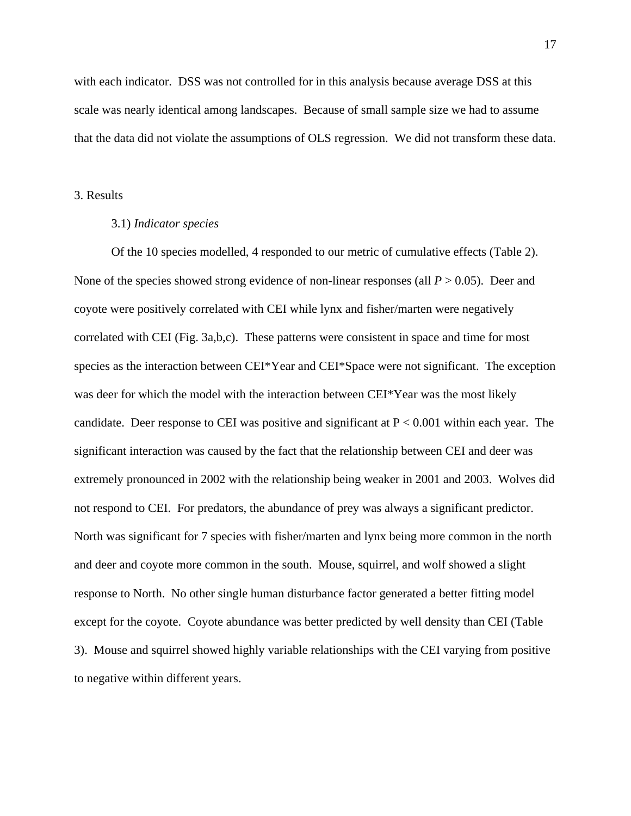with each indicator. DSS was not controlled for in this analysis because average DSS at this scale was nearly identical among landscapes. Because of small sample size we had to assume that the data did not violate the assumptions of OLS regression. We did not transform these data.

#### 3. Results

# 3.1) *Indicator species*

 Of the 10 species modelled, 4 responded to our metric of cumulative effects (Table 2). None of the species showed strong evidence of non-linear responses (all *P* > 0.05). Deer and coyote were positively correlated with CEI while lynx and fisher/marten were negatively correlated with CEI (Fig. 3a,b,c). These patterns were consistent in space and time for most species as the interaction between CEI\*Year and CEI\*Space were not significant. The exception was deer for which the model with the interaction between CEI\*Year was the most likely candidate. Deer response to CEI was positive and significant at  $P < 0.001$  within each year. The significant interaction was caused by the fact that the relationship between CEI and deer was extremely pronounced in 2002 with the relationship being weaker in 2001 and 2003. Wolves did not respond to CEI. For predators, the abundance of prey was always a significant predictor. North was significant for 7 species with fisher/marten and lynx being more common in the north and deer and coyote more common in the south. Mouse, squirrel, and wolf showed a slight response to North. No other single human disturbance factor generated a better fitting model except for the coyote. Coyote abundance was better predicted by well density than CEI (Table 3). Mouse and squirrel showed highly variable relationships with the CEI varying from positive to negative within different years.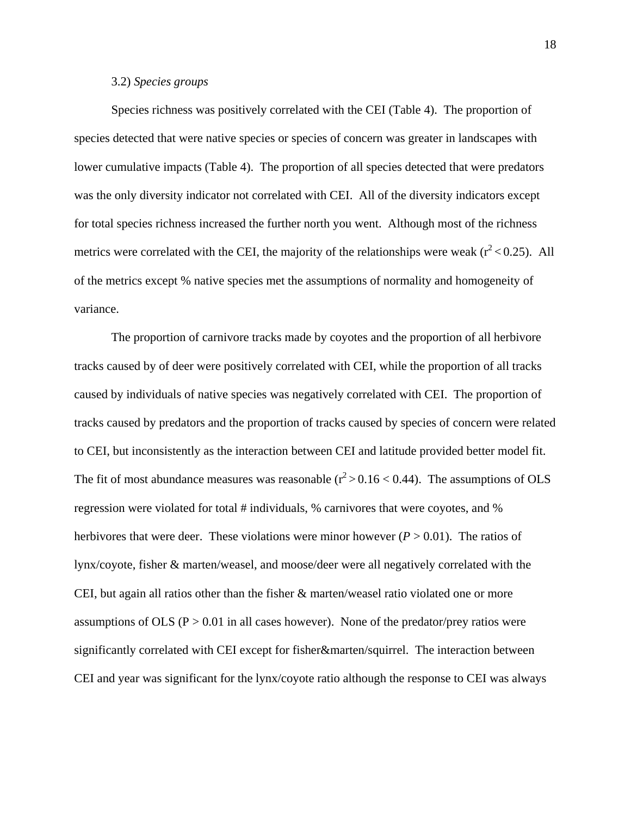# 3.2) *Species groups*

Species richness was positively correlated with the CEI (Table 4). The proportion of species detected that were native species or species of concern was greater in landscapes with lower cumulative impacts (Table 4). The proportion of all species detected that were predators was the only diversity indicator not correlated with CEI. All of the diversity indicators except for total species richness increased the further north you went. Although most of the richness metrics were correlated with the CEI, the majority of the relationships were weak ( $r^2$  < 0.25). All of the metrics except % native species met the assumptions of normality and homogeneity of variance.

The proportion of carnivore tracks made by coyotes and the proportion of all herbivore tracks caused by of deer were positively correlated with CEI, while the proportion of all tracks caused by individuals of native species was negatively correlated with CEI. The proportion of tracks caused by predators and the proportion of tracks caused by species of concern were related to CEI, but inconsistently as the interaction between CEI and latitude provided better model fit. The fit of most abundance measures was reasonable ( $r^2 > 0.16 < 0.44$ ). The assumptions of OLS regression were violated for total # individuals, % carnivores that were coyotes, and % herbivores that were deer. These violations were minor however  $(P > 0.01)$ . The ratios of lynx/coyote, fisher & marten/weasel, and moose/deer were all negatively correlated with the CEI, but again all ratios other than the fisher  $\&$  marten/weasel ratio violated one or more assumptions of OLS ( $P > 0.01$  in all cases however). None of the predator/prey ratios were significantly correlated with CEI except for fisher&marten/squirrel. The interaction between CEI and year was significant for the lynx/coyote ratio although the response to CEI was always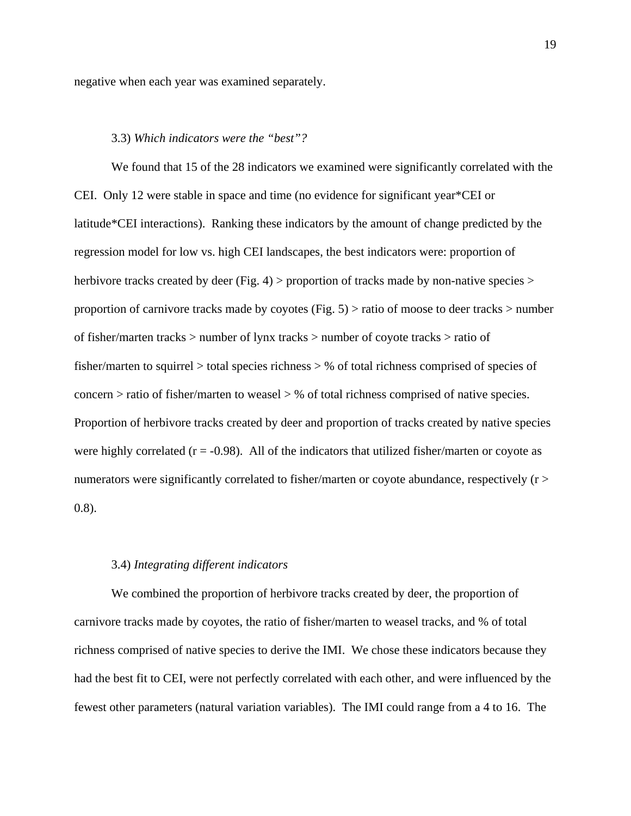negative when each year was examined separately.

# 3.3) *Which indicators were the "best"?*

We found that 15 of the 28 indicators we examined were significantly correlated with the CEI. Only 12 were stable in space and time (no evidence for significant year\*CEI or latitude\*CEI interactions). Ranking these indicators by the amount of change predicted by the regression model for low vs. high CEI landscapes, the best indicators were: proportion of herbivore tracks created by deer (Fig. 4) > proportion of tracks made by non-native species > proportion of carnivore tracks made by coyotes (Fig. 5) > ratio of moose to deer tracks > number of fisher/marten tracks > number of lynx tracks > number of coyote tracks > ratio of fisher/marten to squirrel > total species richness > % of total richness comprised of species of concern > ratio of fisher/marten to weasel > % of total richness comprised of native species. Proportion of herbivore tracks created by deer and proportion of tracks created by native species were highly correlated  $(r = -0.98)$ . All of the indicators that utilized fisher/marten or coyote as numerators were significantly correlated to fisher/marten or coyote abundance, respectively (r > 0.8).

#### 3.4) *Integrating different indicators*

 We combined the proportion of herbivore tracks created by deer, the proportion of carnivore tracks made by coyotes, the ratio of fisher/marten to weasel tracks, and % of total richness comprised of native species to derive the IMI. We chose these indicators because they had the best fit to CEI, were not perfectly correlated with each other, and were influenced by the fewest other parameters (natural variation variables). The IMI could range from a 4 to 16. The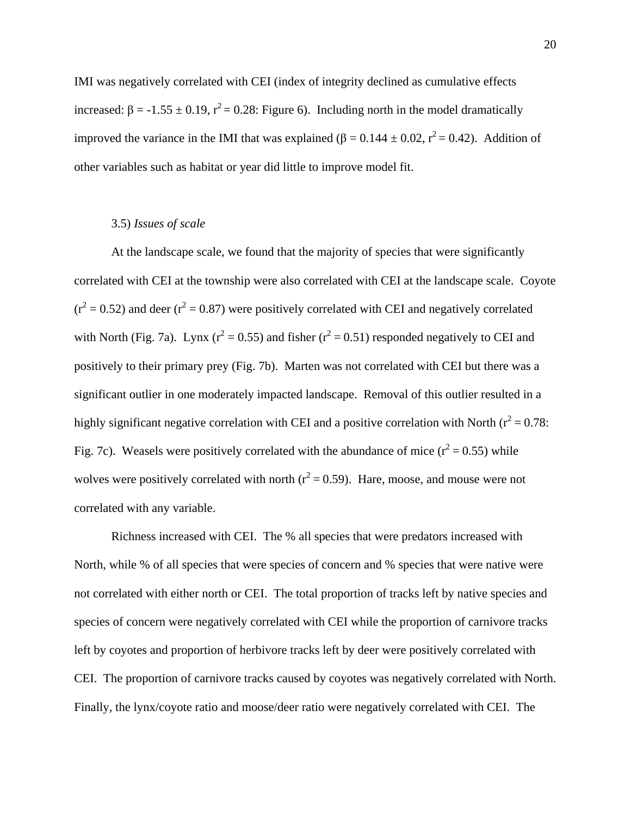IMI was negatively correlated with CEI (index of integrity declined as cumulative effects increased:  $\beta = -1.55 \pm 0.19$ ,  $r^2 = 0.28$ : Figure 6). Including north in the model dramatically improved the variance in the IMI that was explained ( $\beta = 0.144 \pm 0.02$ ,  $r^2 = 0.42$ ). Addition of other variables such as habitat or year did little to improve model fit.

# 3.5) *Issues of scale*

At the landscape scale, we found that the majority of species that were significantly correlated with CEI at the township were also correlated with CEI at the landscape scale. Coyote  $(r^2 = 0.52)$  and deer  $(r^2 = 0.87)$  were positively correlated with CEI and negatively correlated with North (Fig. 7a). Lynx ( $r^2 = 0.55$ ) and fisher ( $r^2 = 0.51$ ) responded negatively to CEI and positively to their primary prey (Fig. 7b). Marten was not correlated with CEI but there was a significant outlier in one moderately impacted landscape. Removal of this outlier resulted in a highly significant negative correlation with CEI and a positive correlation with North ( $r^2 = 0.78$ : Fig. 7c). Weasels were positively correlated with the abundance of mice  $(r^2 = 0.55)$  while wolves were positively correlated with north  $(r^2 = 0.59)$ . Hare, moose, and mouse were not correlated with any variable.

 Richness increased with CEI. The % all species that were predators increased with North, while % of all species that were species of concern and % species that were native were not correlated with either north or CEI. The total proportion of tracks left by native species and species of concern were negatively correlated with CEI while the proportion of carnivore tracks left by coyotes and proportion of herbivore tracks left by deer were positively correlated with CEI. The proportion of carnivore tracks caused by coyotes was negatively correlated with North. Finally, the lynx/coyote ratio and moose/deer ratio were negatively correlated with CEI. The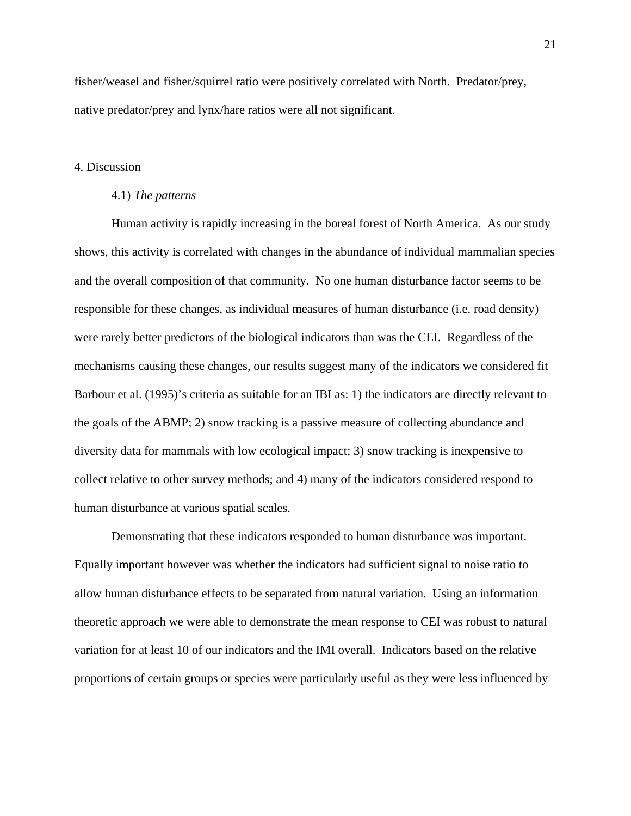fisher/weasel and fisher/squirrel ratio were positively correlated with North. Predator/prey, native predator/prey and lynx/hare ratios were all not significant.

#### 4. Discussion

#### 4.1) *The patterns*

Human activity is rapidly increasing in the boreal forest of North America. As our study shows, this activity is correlated with changes in the abundance of individual mammalian species and the overall composition of that community. No one human disturbance factor seems to be responsible for these changes, as individual measures of human disturbance (i.e. road density) were rarely better predictors of the biological indicators than was the CEI. Regardless of the mechanisms causing these changes, our results suggest many of the indicators we considered fit Barbour et al. (1995)'s criteria as suitable for an IBI as: 1) the indicators are directly relevant to the goals of the ABMP; 2) snow tracking is a passive measure of collecting abundance and diversity data for mammals with low ecological impact; 3) snow tracking is inexpensive to collect relative to other survey methods; and 4) many of the indicators considered respond to human disturbance at various spatial scales.

Demonstrating that these indicators responded to human disturbance was important. Equally important however was whether the indicators had sufficient signal to noise ratio to allow human disturbance effects to be separated from natural variation. Using an information theoretic approach we were able to demonstrate the mean response to CEI was robust to natural variation for at least 10 of our indicators and the IMI overall. Indicators based on the relative proportions of certain groups or species were particularly useful as they were less influenced by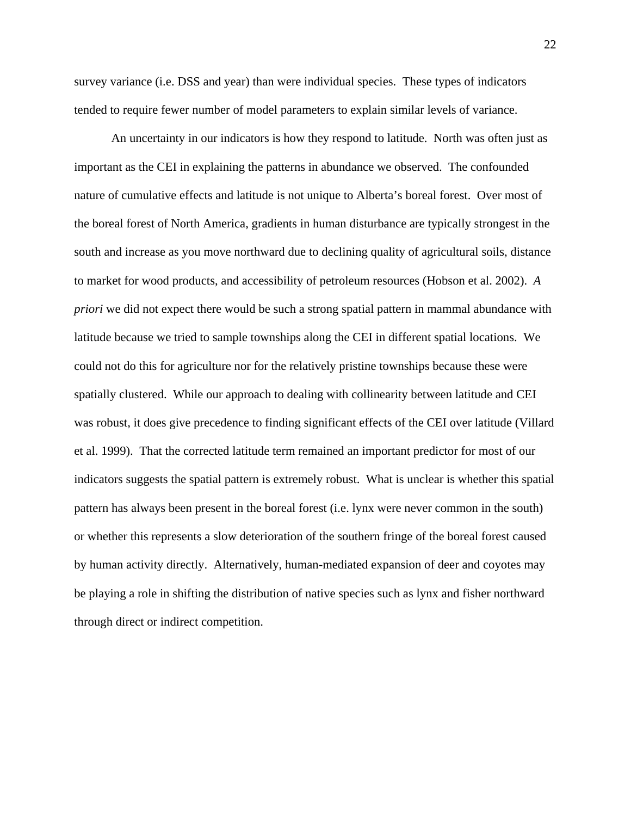survey variance (i.e. DSS and year) than were individual species. These types of indicators tended to require fewer number of model parameters to explain similar levels of variance.

An uncertainty in our indicators is how they respond to latitude. North was often just as important as the CEI in explaining the patterns in abundance we observed. The confounded nature of cumulative effects and latitude is not unique to Alberta's boreal forest. Over most of the boreal forest of North America, gradients in human disturbance are typically strongest in the south and increase as you move northward due to declining quality of agricultural soils, distance to market for wood products, and accessibility of petroleum resources (Hobson et al. 2002). *A priori* we did not expect there would be such a strong spatial pattern in mammal abundance with latitude because we tried to sample townships along the CEI in different spatial locations. We could not do this for agriculture nor for the relatively pristine townships because these were spatially clustered. While our approach to dealing with collinearity between latitude and CEI was robust, it does give precedence to finding significant effects of the CEI over latitude (Villard et al. 1999). That the corrected latitude term remained an important predictor for most of our indicators suggests the spatial pattern is extremely robust. What is unclear is whether this spatial pattern has always been present in the boreal forest (i.e. lynx were never common in the south) or whether this represents a slow deterioration of the southern fringe of the boreal forest caused by human activity directly. Alternatively, human-mediated expansion of deer and coyotes may be playing a role in shifting the distribution of native species such as lynx and fisher northward through direct or indirect competition.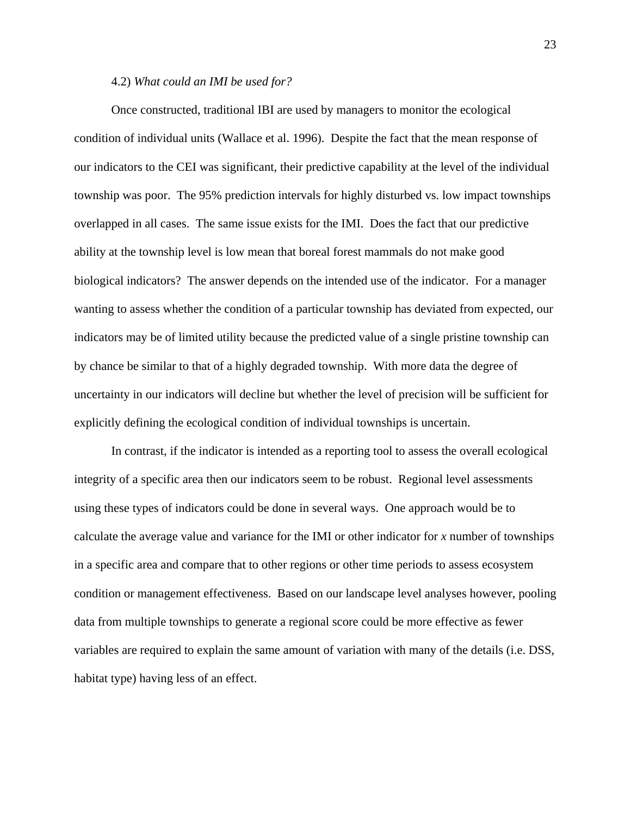## 4.2) *What could an IMI be used for?*

Once constructed, traditional IBI are used by managers to monitor the ecological condition of individual units (Wallace et al. 1996). Despite the fact that the mean response of our indicators to the CEI was significant, their predictive capability at the level of the individual township was poor. The 95% prediction intervals for highly disturbed vs. low impact townships overlapped in all cases. The same issue exists for the IMI. Does the fact that our predictive ability at the township level is low mean that boreal forest mammals do not make good biological indicators? The answer depends on the intended use of the indicator. For a manager wanting to assess whether the condition of a particular township has deviated from expected, our indicators may be of limited utility because the predicted value of a single pristine township can by chance be similar to that of a highly degraded township. With more data the degree of uncertainty in our indicators will decline but whether the level of precision will be sufficient for explicitly defining the ecological condition of individual townships is uncertain.

In contrast, if the indicator is intended as a reporting tool to assess the overall ecological integrity of a specific area then our indicators seem to be robust. Regional level assessments using these types of indicators could be done in several ways. One approach would be to calculate the average value and variance for the IMI or other indicator for *x* number of townships in a specific area and compare that to other regions or other time periods to assess ecosystem condition or management effectiveness. Based on our landscape level analyses however, pooling data from multiple townships to generate a regional score could be more effective as fewer variables are required to explain the same amount of variation with many of the details (i.e. DSS, habitat type) having less of an effect.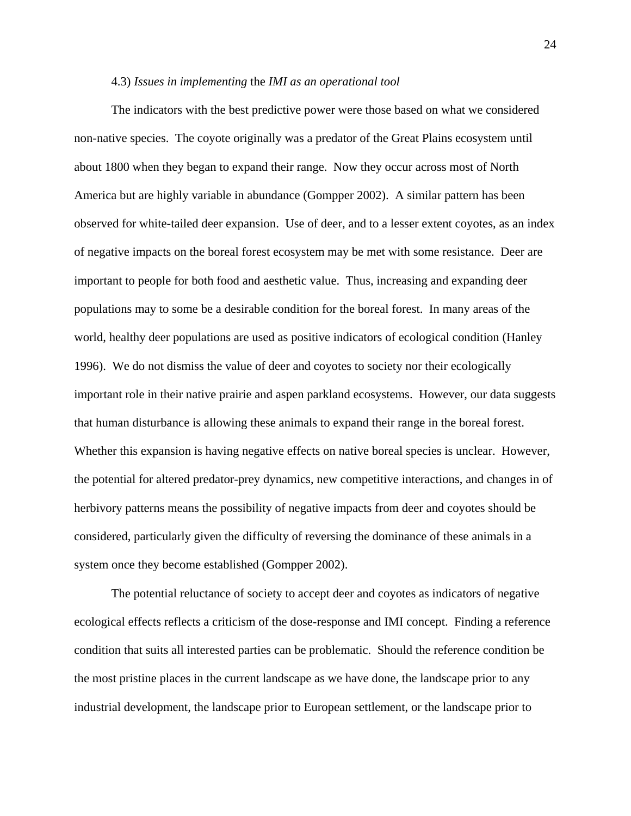#### 4.3) *Issues in implementing* the *IMI as an operational tool*

The indicators with the best predictive power were those based on what we considered non-native species. The coyote originally was a predator of the Great Plains ecosystem until about 1800 when they began to expand their range. Now they occur across most of North America but are highly variable in abundance (Gompper 2002). A similar pattern has been observed for white-tailed deer expansion. Use of deer, and to a lesser extent coyotes, as an index of negative impacts on the boreal forest ecosystem may be met with some resistance. Deer are important to people for both food and aesthetic value. Thus, increasing and expanding deer populations may to some be a desirable condition for the boreal forest. In many areas of the world, healthy deer populations are used as positive indicators of ecological condition (Hanley 1996). We do not dismiss the value of deer and coyotes to society nor their ecologically important role in their native prairie and aspen parkland ecosystems. However, our data suggests that human disturbance is allowing these animals to expand their range in the boreal forest. Whether this expansion is having negative effects on native boreal species is unclear. However, the potential for altered predator-prey dynamics, new competitive interactions, and changes in of herbivory patterns means the possibility of negative impacts from deer and coyotes should be considered, particularly given the difficulty of reversing the dominance of these animals in a system once they become established (Gompper 2002).

The potential reluctance of society to accept deer and coyotes as indicators of negative ecological effects reflects a criticism of the dose-response and IMI concept. Finding a reference condition that suits all interested parties can be problematic. Should the reference condition be the most pristine places in the current landscape as we have done, the landscape prior to any industrial development, the landscape prior to European settlement, or the landscape prior to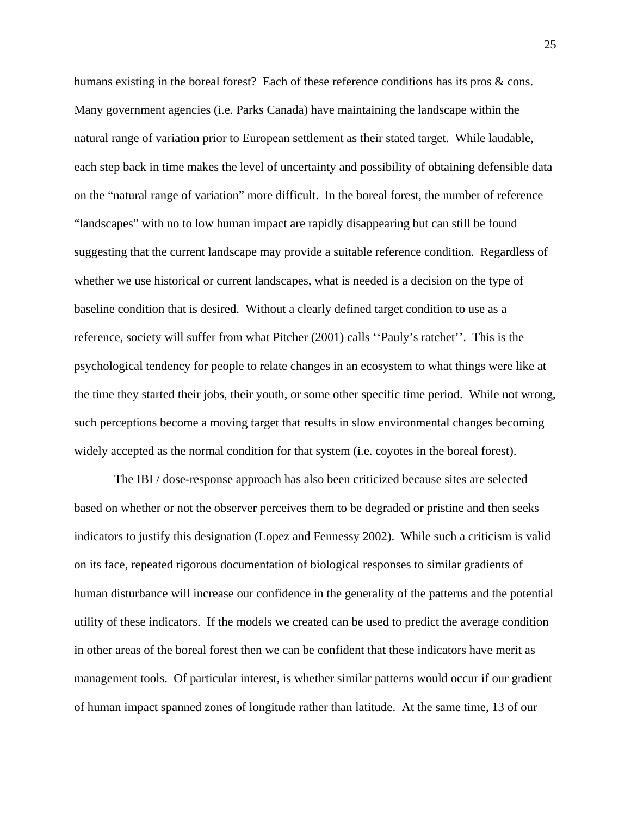humans existing in the boreal forest? Each of these reference conditions has its pros & cons. Many government agencies (i.e. Parks Canada) have maintaining the landscape within the natural range of variation prior to European settlement as their stated target. While laudable, each step back in time makes the level of uncertainty and possibility of obtaining defensible data on the "natural range of variation" more difficult. In the boreal forest, the number of reference "landscapes" with no to low human impact are rapidly disappearing but can still be found suggesting that the current landscape may provide a suitable reference condition. Regardless of whether we use historical or current landscapes, what is needed is a decision on the type of baseline condition that is desired. Without a clearly defined target condition to use as a reference, society will suffer from what Pitcher (2001) calls ''Pauly's ratchet''. This is the psychological tendency for people to relate changes in an ecosystem to what things were like at the time they started their jobs, their youth, or some other specific time period. While not wrong, such perceptions become a moving target that results in slow environmental changes becoming widely accepted as the normal condition for that system (i.e. coyotes in the boreal forest).

 The IBI / dose-response approach has also been criticized because sites are selected based on whether or not the observer perceives them to be degraded or pristine and then seeks indicators to justify this designation (Lopez and Fennessy 2002). While such a criticism is valid on its face, repeated rigorous documentation of biological responses to similar gradients of human disturbance will increase our confidence in the generality of the patterns and the potential utility of these indicators. If the models we created can be used to predict the average condition in other areas of the boreal forest then we can be confident that these indicators have merit as management tools. Of particular interest, is whether similar patterns would occur if our gradient of human impact spanned zones of longitude rather than latitude. At the same time, 13 of our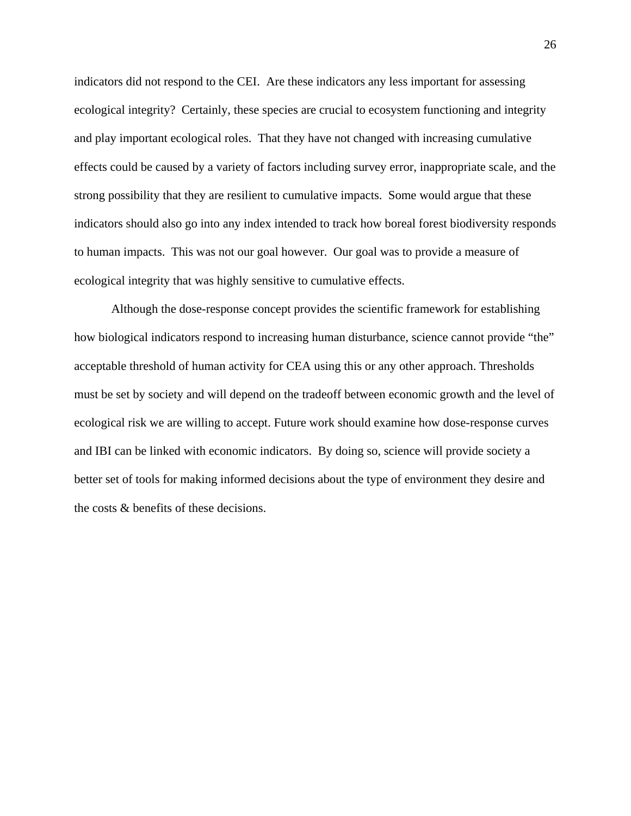indicators did not respond to the CEI. Are these indicators any less important for assessing ecological integrity? Certainly, these species are crucial to ecosystem functioning and integrity and play important ecological roles. That they have not changed with increasing cumulative effects could be caused by a variety of factors including survey error, inappropriate scale, and the strong possibility that they are resilient to cumulative impacts. Some would argue that these indicators should also go into any index intended to track how boreal forest biodiversity responds to human impacts. This was not our goal however. Our goal was to provide a measure of ecological integrity that was highly sensitive to cumulative effects.

Although the dose-response concept provides the scientific framework for establishing how biological indicators respond to increasing human disturbance, science cannot provide "the" acceptable threshold of human activity for CEA using this or any other approach. Thresholds must be set by society and will depend on the tradeoff between economic growth and the level of ecological risk we are willing to accept. Future work should examine how dose-response curves and IBI can be linked with economic indicators. By doing so, science will provide society a better set of tools for making informed decisions about the type of environment they desire and the costs & benefits of these decisions.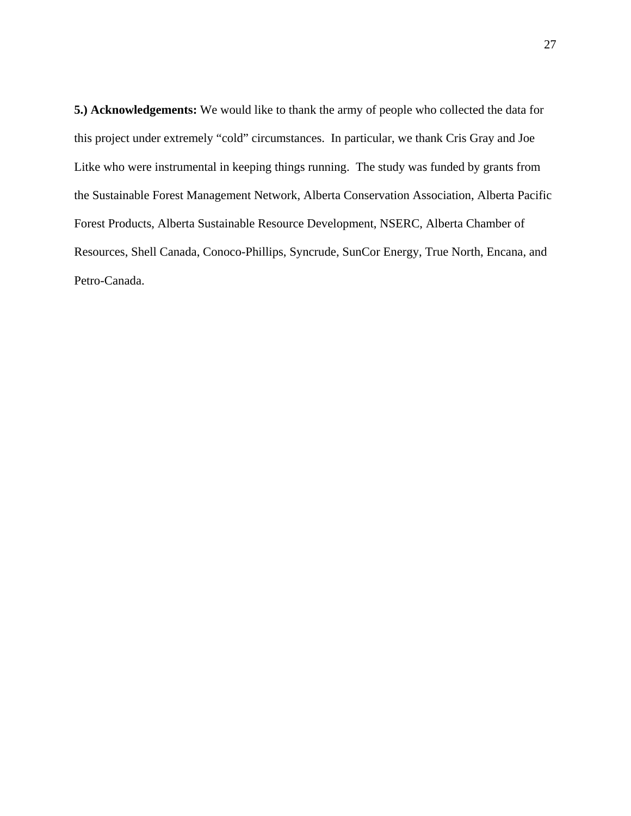**5.) Acknowledgements:** We would like to thank the army of people who collected the data for this project under extremely "cold" circumstances. In particular, we thank Cris Gray and Joe Litke who were instrumental in keeping things running. The study was funded by grants from the Sustainable Forest Management Network, Alberta Conservation Association, Alberta Pacific Forest Products, Alberta Sustainable Resource Development, NSERC, Alberta Chamber of Resources, Shell Canada, Conoco-Phillips, Syncrude, SunCor Energy, True North, Encana, and Petro-Canada.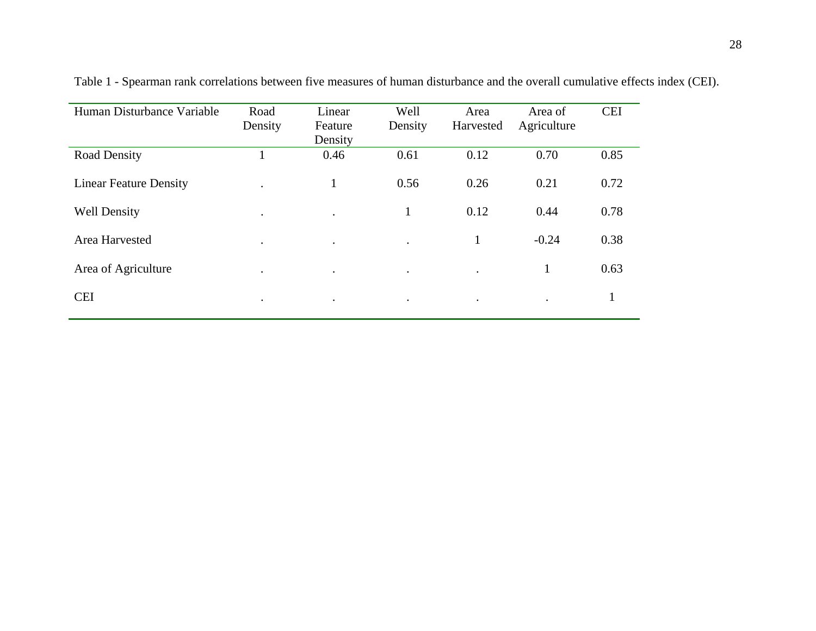| Human Disturbance Variable    | Road<br>Density | Linear<br>Feature<br>Density | Well<br>Density | Area<br>Harvested | Area of<br>Agriculture | <b>CEI</b> |
|-------------------------------|-----------------|------------------------------|-----------------|-------------------|------------------------|------------|
| <b>Road Density</b>           |                 | 0.46                         | 0.61            | 0.12              | 0.70                   | 0.85       |
| <b>Linear Feature Density</b> | $\bullet$       | $\mathbf{1}$                 | 0.56            | 0.26              | 0.21                   | 0.72       |
| <b>Well Density</b>           | $\bullet$       | $\ddot{\phantom{0}}$         | $\mathbf{I}$    | 0.12              | 0.44                   | 0.78       |
| Area Harvested                | $\bullet$       | $\bullet$                    | $\bullet$       | $\bf{l}$          | $-0.24$                | 0.38       |
| Area of Agriculture           | $\bullet$       | $\bullet$                    | $\bullet$       | $\bullet$         | -1                     | 0.63       |
| <b>CEI</b>                    | $\bullet$       | $\bullet$                    | $\bullet$       | $\bullet$         | $\bullet$              | 1          |

Table 1 - Spearman rank correlations between five measures of human disturbance and the overall cumulative effects index (CEI).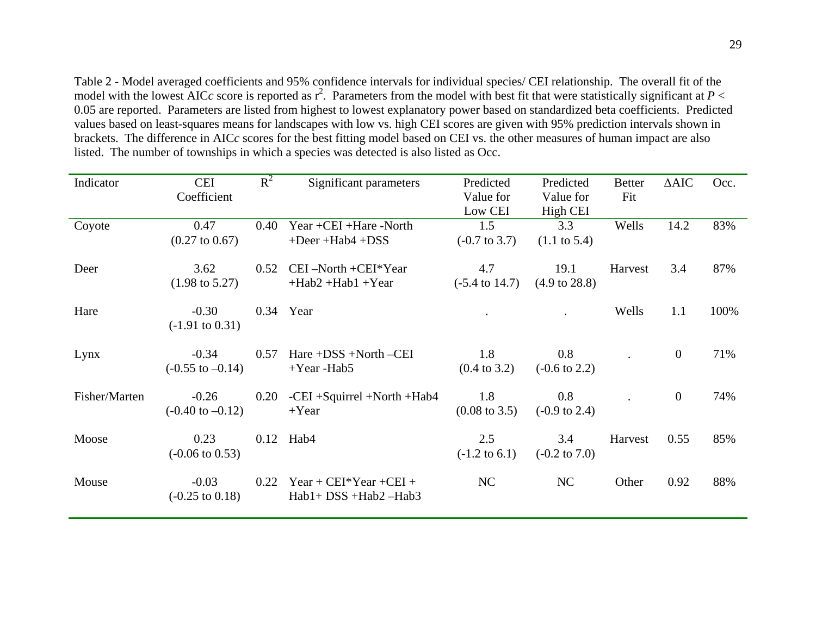Table 2 - Model averaged coefficients and 95% confidence intervals for individual species/ CEI relationship. The overall fit of the model with the lowest AICc score is reported as  $r^2$ . Parameters from the model with best fit that were statistically significant at  $P <$ 0.05 are reported. Parameters are listed from highest to lowest explanatory power based on standardized beta coefficients. Predicted values based on least-squares means for landscapes with low vs. high CEI scores are given with 95% prediction intervals shown in brackets. The difference in AIC *<sup>c</sup>* scores for the best fitting model based on CEI vs. the other measures of human impact are also listed. The number of townships in which a species was detected is also listed as Occ.

| Indicator     | <b>CEI</b>                  | $R^2$ | Significant parameters           | Predicted                 | Predicted                | <b>Better</b> | $\triangle AIC$ | Occ. |
|---------------|-----------------------------|-------|----------------------------------|---------------------------|--------------------------|---------------|-----------------|------|
|               | Coefficient                 |       |                                  | Value for                 | Value for                | Fit           |                 |      |
|               |                             |       |                                  | Low CEI                   | High CEI                 |               |                 |      |
| Coyote        | 0.47                        | 0.40  | Year +CEI +Hare -North           | 1.5                       | 3.3                      | Wells         | 14.2            | 83%  |
|               | $(0.27 \text{ to } 0.67)$   |       | $+$ Deer $+$ Hab $4$ +DSS        | $(-0.7 \text{ to } 3.7)$  | $(1.1 \text{ to } 5.4)$  |               |                 |      |
| Deer          | 3.62                        | 0.52  | $CEI - North + CEI*Year$         | 4.7                       | 19.1                     | Harvest       | 3.4             | 87%  |
|               | $(1.98 \text{ to } 5.27)$   |       | $+Hab2 +Hab1 + Year$             | $(-5.4 \text{ to } 14.7)$ | $(4.9 \text{ to } 28.8)$ |               |                 |      |
| Hare          | $-0.30$                     |       | 0.34 Year                        |                           |                          | Wells         | 1.1             | 100% |
|               | $(-1.91 \text{ to } 0.31)$  |       |                                  |                           |                          |               |                 |      |
| Lynx          | $-0.34$                     | 0.57  | $Hare +DSS + North -CEI$         | 1.8                       | $0.8\,$                  |               | $\overline{0}$  | 71%  |
|               | $(-0.55 \text{ to } -0.14)$ |       | $+Year$ -Hab5                    | $(0.4 \text{ to } 3.2)$   | $(-0.6 \text{ to } 2.2)$ |               |                 |      |
| Fisher/Marten | $-0.26$                     | 0.20  | $-CEI + Squirrel + North + Hab4$ | 1.8                       | 0.8                      |               | $\overline{0}$  | 74%  |
|               | $(-0.40 \text{ to } -0.12)$ |       | $+Year$                          | $(0.08 \text{ to } 3.5)$  | $(-0.9 \text{ to } 2.4)$ |               |                 |      |
| Moose         | 0.23                        |       | $0.12$ Hab4                      | 2.5                       | 3.4                      | Harvest       | 0.55            | 85%  |
|               | $(-0.06 \text{ to } 0.53)$  |       |                                  | $(-1.2 \text{ to } 6.1)$  | $(-0.2 \text{ to } 7.0)$ |               |                 |      |
| Mouse         | $-0.03$                     | 0.22  | $Year + CEI*Year + CEI +$        | NC                        | NC                       | Other         | 0.92            | 88%  |
|               | $(-0.25 \text{ to } 0.18)$  |       | Hab1+ DSS +Hab2 -Hab3            |                           |                          |               |                 |      |
|               |                             |       |                                  |                           |                          |               |                 |      |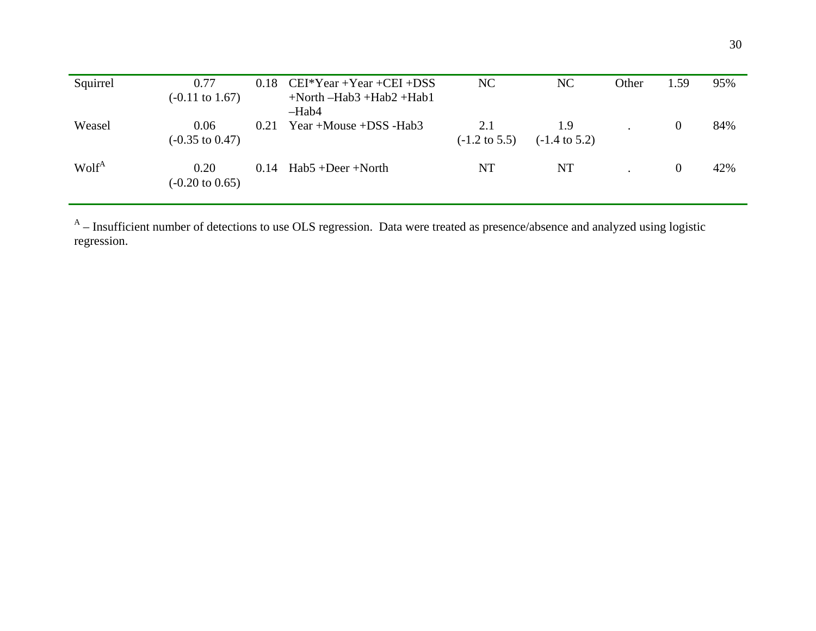| Squirrel          | 0.77<br>$(-0.11 \text{ to } 1.67)$ |      | $0.18$ CEI*Year +Year +CEI +DSS<br>$+North$ -Hab3 +Hab2 +Hab1<br>$-Hab4$ | NC                              | NC                              | Other | 1.59     | 95% |
|-------------------|------------------------------------|------|--------------------------------------------------------------------------|---------------------------------|---------------------------------|-------|----------|-----|
| Weasel            | 0.06<br>$(-0.35 \text{ to } 0.47)$ | 0.21 | Year +Mouse + $DSS$ -Hab3                                                | 2.1<br>$(-1.2 \text{ to } 5.5)$ | 1.9<br>$(-1.4 \text{ to } 5.2)$ |       | $\theta$ | 84% |
| Wolf <sup>A</sup> | 0.20<br>$(-0.20 \text{ to } 0.65)$ | 0.14 | $Hab5 + Deer + North$                                                    | NT                              | <b>NT</b>                       |       | $\theta$ | 42% |

 $A$  – Insufficient number of detections to use OLS regression. Data were treated as presence/absence and analyzed using logistic regression.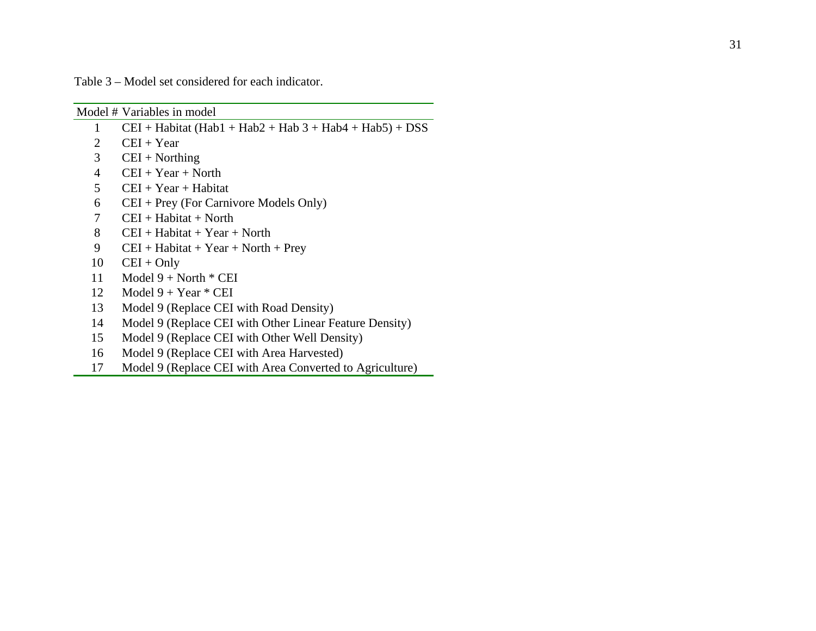Table 3 – Model set considered for each indicator.

|                | Model # Variables in model                                      |
|----------------|-----------------------------------------------------------------|
| 1              | $CEI + Habitat (Hab1 + Hab2 + Hab3 + Hab3 + Hab4 + Hab5) + DSS$ |
| 2              | $CEI + Year$                                                    |
| 3              | $CEI + Northing$                                                |
| $\overline{4}$ | $CEI + Year + North$                                            |
| 5              | $CEI + Year + Habitat$                                          |
| 6              | $CEI + Prey$ (For Carnivore Models Only)                        |
| 7              | $CEI + Habitat + North$                                         |
| 8              | $CEI + Habitat + Year + North$                                  |
| 9              | $CEI + Habitat + Year + North + Prey$                           |
| 10             | $CEI + Only$                                                    |
| 11             | Model $9 + North * CEI$                                         |
| 12             | Model $9 + Year * CEI$                                          |
| 13             | Model 9 (Replace CEI with Road Density)                         |
| 14             | Model 9 (Replace CEI with Other Linear Feature Density)         |
| 15             | Model 9 (Replace CEI with Other Well Density)                   |
| 16             | Model 9 (Replace CEI with Area Harvested)                       |
| 17             | Model 9 (Replace CEI with Area Converted to Agriculture)        |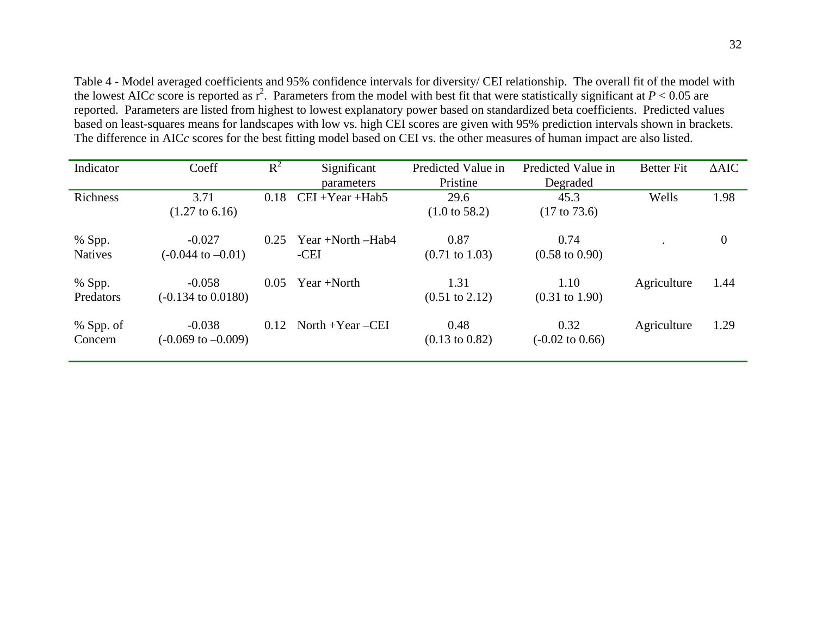Table 4 - Model averaged coefficients and 95% confidence intervals for diversity/ CEI relationship. The overall fit of the model with the lowest AICc score is reported as  $r^2$ . Parameters from the model with best fit that were statistically significant at  $P < 0.05$  are reported. Parameters are listed from highest to lowest explanatory power based on standardized beta coefficients. Predicted values based on least-squares means for landscapes with low vs. high CEI scores are given with 95% prediction intervals shown in brackets. The difference in AIC *<sup>c</sup>* scores for the best fitting model based on CEI vs. the other measures of human impact are also listed.

| Indicator                | Coeff                                     | $R^2$ | Significant               | Predicted Value in                | Predicted Value in                 | <b>Better Fit</b> | $\triangle AIC$ |
|--------------------------|-------------------------------------------|-------|---------------------------|-----------------------------------|------------------------------------|-------------------|-----------------|
|                          |                                           |       | <i>parameters</i>         | Pristine                          | Degraded                           |                   |                 |
| Richness                 | 3.71                                      | 0.18  | $CEI + Year + Hab5$       | 29.6                              | 45.3                               | Wells             | 1.98            |
|                          | $(1.27 \text{ to } 6.16)$                 |       |                           | $(1.0 \text{ to } 58.2)$          | $(17 \text{ to } 73.6)$            |                   |                 |
| % Spp.<br><b>Natives</b> | $-0.027$<br>$(-0.044 \text{ to } -0.01)$  | 0.25  | Year +North –Hab4<br>-CEI | 0.87<br>$(0.71 \text{ to } 1.03)$ | 0.74<br>$(0.58 \text{ to } 0.90)$  |                   | $\overline{0}$  |
| % Spp.<br>Predators      | $-0.058$<br>$(-0.134 \text{ to } 0.0180)$ | 0.05  | $Year + North$            | 1.31<br>$(0.51 \text{ to } 2.12)$ | 1.10<br>$(0.31 \text{ to } 1.90)$  | Agriculture       | 1.44            |
|                          |                                           |       |                           |                                   |                                    |                   |                 |
| % Spp. of<br>Concern     | $-0.038$<br>$(-0.069 \text{ to } -0.009)$ | 0.12  | North $+Year$ –CEI        | 0.48<br>$(0.13 \text{ to } 0.82)$ | 0.32<br>$(-0.02 \text{ to } 0.66)$ | Agriculture       | 1.29            |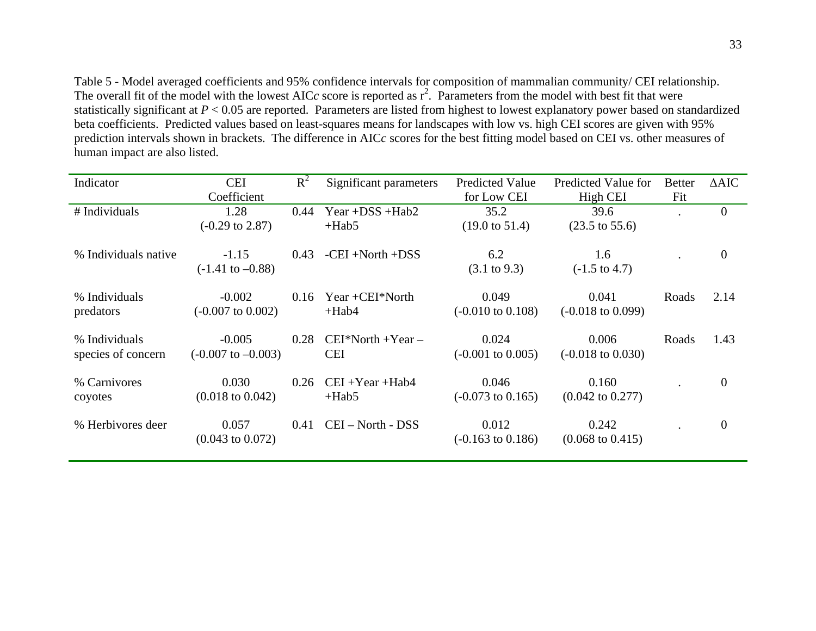Table 5 - Model averaged coefficients and 95% confidence intervals for composition of mammalian community/ CEI relationship. The overall fit of the model with the lowest AIC $c$  score is reported as  $r^2$ . Parameters from the model with best fit that were statistically significant at *P* < 0.05 are reported. Parameters are listed from highest to lowest explanatory power based on standardized beta coefficients. Predicted values based on least-squares means for landscapes with low vs. high CEI scores are given with 95% prediction intervals shown in brackets. The difference in AIC *<sup>c</sup>* scores for the best fitting model based on CEI vs. other measures of human impact are also listed.

| Indicator                           | <b>CEI</b>                                | $R^2$ | Significant parameters              | <b>Predicted Value</b>                | Predicted Value for                   | <b>Better</b> | $\triangle AIC$ |
|-------------------------------------|-------------------------------------------|-------|-------------------------------------|---------------------------------------|---------------------------------------|---------------|-----------------|
|                                     | Coefficient                               |       |                                     | for Low CEI                           | High CEI                              | Fit           |                 |
| # Individuals                       | 1.28                                      | 0.44  | Year + $DSS$ + $Hab2$               | 35.2                                  | 39.6                                  |               | $\overline{0}$  |
|                                     | $(-0.29 \text{ to } 2.87)$                |       | $+Hab5$                             | $(19.0 \text{ to } 51.4)$             | $(23.5 \text{ to } 55.6)$             |               |                 |
| % Individuals native                | $-1.15$                                   | 0.43  | $-CEI + North + DSS$                | 6.2                                   | 1.6                                   |               | $\overline{0}$  |
|                                     | $(-1.41 \text{ to } -0.88)$               |       |                                     | $(3.1 \text{ to } 9.3)$               | $(-1.5 \text{ to } 4.7)$              |               |                 |
| % Individuals<br>predators          | $-0.002$<br>$(-0.007 \text{ to } 0.002)$  | 0.16  | Year $+CEI*North$<br>$+Hab4$        | 0.049<br>$(-0.010 \text{ to } 0.108)$ | 0.041<br>$(-0.018 \text{ to } 0.099)$ | Roads         | 2.14            |
| % Individuals<br>species of concern | $-0.005$<br>$(-0.007 \text{ to } -0.003)$ | 0.28  | $CEI^*North + Year -$<br><b>CEI</b> | 0.024<br>$(-0.001 \text{ to } 0.005)$ | 0.006<br>$(-0.018 \text{ to } 0.030)$ | Roads         | 1.43            |
| % Carnivores<br>coyotes             | 0.030<br>$(0.018 \text{ to } 0.042)$      | 0.26  | $CEI + Year + Hab4$<br>$+Hab5$      | 0.046<br>$(-0.073 \text{ to } 0.165)$ | 0.160<br>$(0.042 \text{ to } 0.277)$  |               | $\overline{0}$  |
| % Herbivores deer                   | 0.057<br>$(0.043 \text{ to } 0.072)$      | 0.41  | CEI - North - DSS                   | 0.012<br>$(-0.163 \text{ to } 0.186)$ | 0.242<br>$(0.068 \text{ to } 0.415)$  |               | $\overline{0}$  |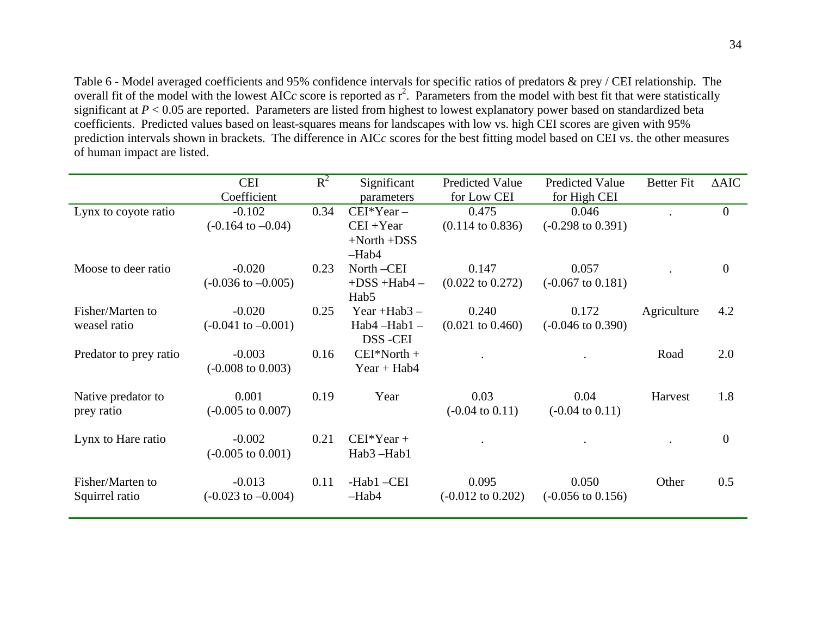Table 6 - Model averaged coefficients and 95% confidence intervals for specific ratios of predators & prey / CEI relationship. The overall fit of the model with the lowest AICc score is reported as  $r^2$ . Parameters from the model with best fit that were statistically significant at *P* < 0.05 are reported. Parameters are listed from highest to lowest explanatory power based on standardized beta coefficients. Predicted values based on least-squares means for landscapes with low vs. high CEI scores are given with 95% prediction intervals shown in brackets. The difference in AIC *<sup>c</sup>* scores for the best fitting model based on CEI vs. the other measures of human impact are listed.

|                        | <b>CEI</b>                    | $R^2$ | Significant      | <b>Predicted Value</b>       | <b>Predicted Value</b>       | <b>Better Fit</b> | $\triangle AIC$ |
|------------------------|-------------------------------|-------|------------------|------------------------------|------------------------------|-------------------|-----------------|
|                        | Coefficient                   |       | parameters       | for Low CEI                  | for High CEI                 |                   |                 |
| Lynx to coyote ratio   | $-0.102$                      | 0.34  | $CEI*Year -$     | 0.475                        | 0.046                        |                   | $\mathbf{0}$    |
|                        | $(-0.164 \text{ to } -0.04)$  |       | $CEI + Year$     | $(0.114 \text{ to } 0.836)$  | $(-0.298 \text{ to } 0.391)$ |                   |                 |
|                        |                               |       | $+North + DSS$   |                              |                              |                   |                 |
|                        |                               |       | $-Hab4$          |                              |                              |                   |                 |
| Moose to deer ratio    | $-0.020$                      | 0.23  | North-CEI        | 0.147                        | 0.057                        |                   | $\overline{0}$  |
|                        | $(-0.036 \text{ to } -0.005)$ |       | $+DSS + Hab4 -$  | $(0.022 \text{ to } 0.272)$  | $(-0.067 \text{ to } 0.181)$ |                   |                 |
|                        |                               |       | Hab <sub>5</sub> |                              |                              |                   |                 |
| Fisher/Marten to       | $-0.020$                      | 0.25  | Year $+Hab3$ –   | 0.240                        | 0.172                        | Agriculture       | 4.2             |
| weasel ratio           | $(-0.041 \text{ to } -0.001)$ |       | $Hab4 - Hab1 -$  | $(0.021 \text{ to } 0.460)$  | $(-0.046 \text{ to } 0.390)$ |                   |                 |
|                        |                               |       | DSS-CEI          |                              |                              |                   |                 |
| Predator to prey ratio | $-0.003$                      | 0.16  | $CEI*North +$    |                              |                              | Road              | 2.0             |
|                        | $(-0.008 \text{ to } 0.003)$  |       | $Year + Hab4$    |                              |                              |                   |                 |
| Native predator to     | 0.001                         | 0.19  | Year             | 0.03                         | 0.04                         | Harvest           | 1.8             |
| prey ratio             | $(-0.005 \text{ to } 0.007)$  |       |                  | $(-0.04 \text{ to } 0.11)$   | $(-0.04 \text{ to } 0.11)$   |                   |                 |
|                        |                               |       |                  |                              |                              |                   |                 |
| Lynx to Hare ratio     | $-0.002$                      | 0.21  | $CEI*Year +$     |                              |                              |                   | $\overline{0}$  |
|                        | $(-0.005 \text{ to } 0.001)$  |       | Hab3-Hab1        |                              |                              |                   |                 |
|                        |                               |       |                  |                              |                              |                   |                 |
| Fisher/Marten to       | $-0.013$                      | 0.11  | -Hab1-CEI        | 0.095                        | 0.050                        | Other             | 0.5             |
| Squirrel ratio         | $(-0.023 \text{ to } -0.004)$ |       | $-Hab4$          | $(-0.012 \text{ to } 0.202)$ | $(-0.056 \text{ to } 0.156)$ |                   |                 |
|                        |                               |       |                  |                              |                              |                   |                 |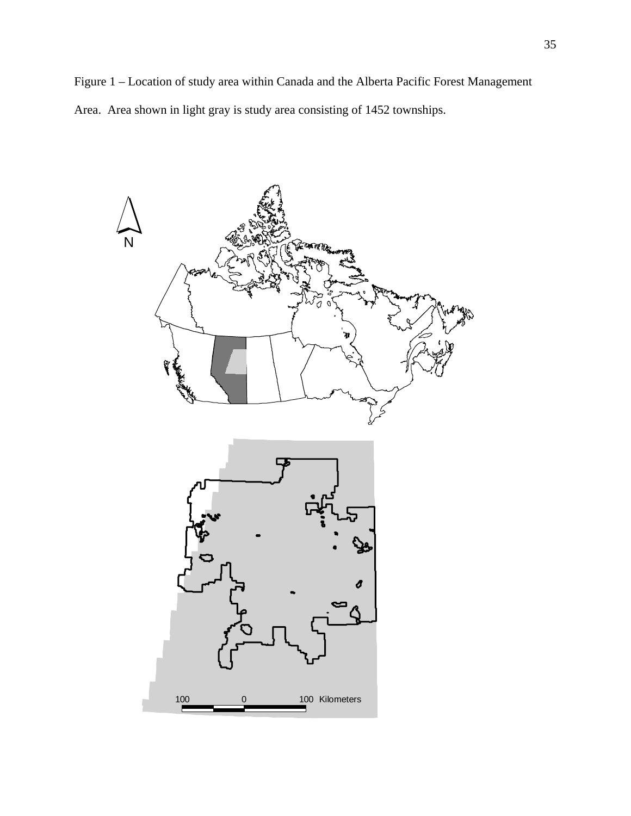Figure 1 – Location of study area within Canada and the Alberta Pacific Forest Management Area. Area shown in light gray is study area consisting of 1452 townships.

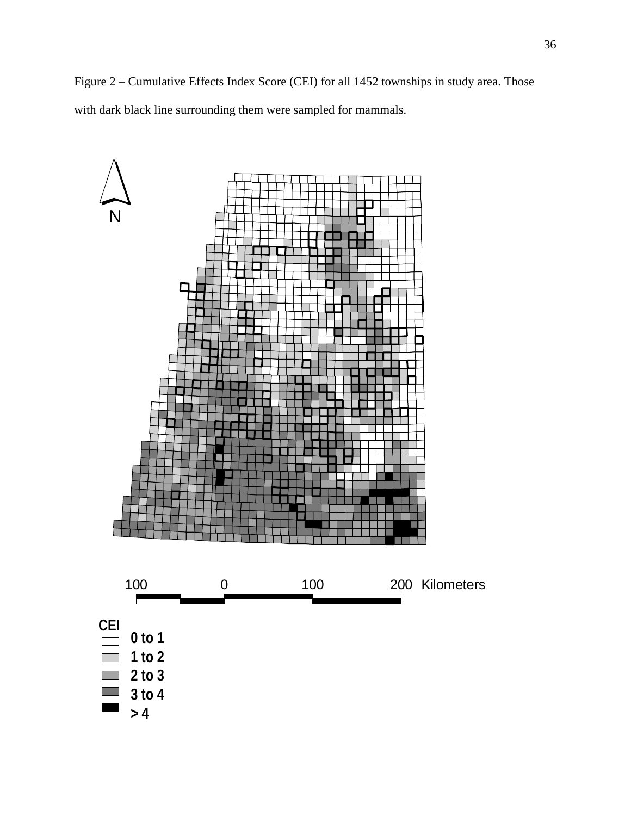Figure 2 – Cumulative Effects Index Score (CEI) for all 1452 townships in study area. Those with dark black line surrounding them were sampled for mammals.

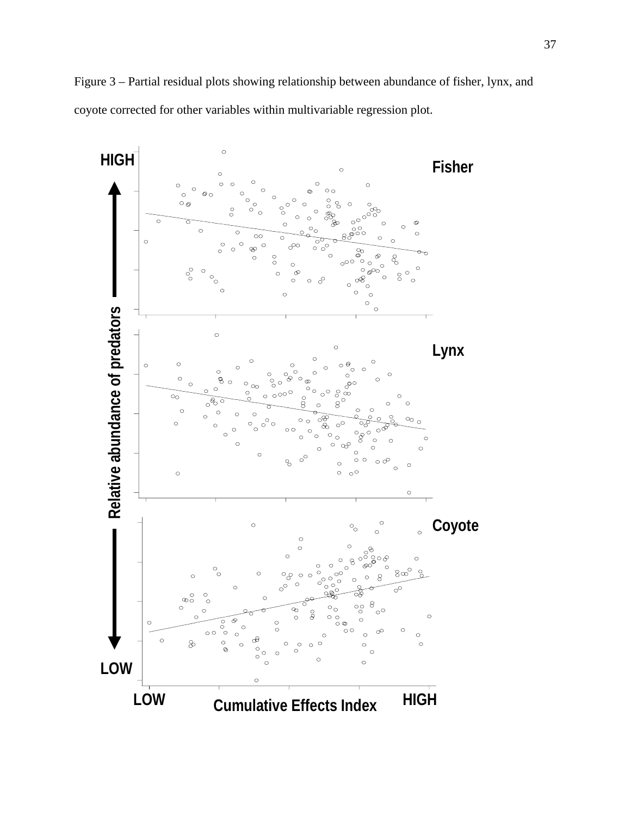

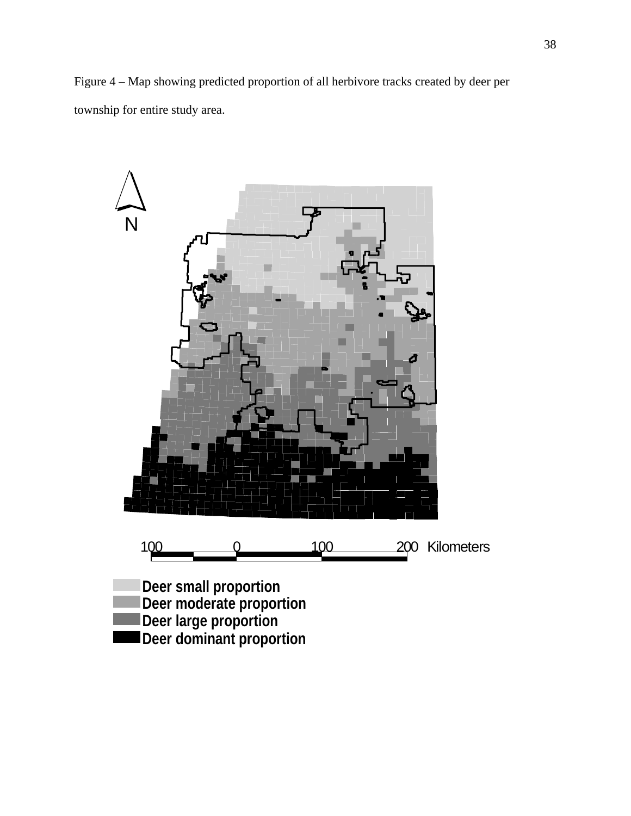Figure 4 – Map showing predicted proportion of all herbivore tracks created by deer per township for entire study area.

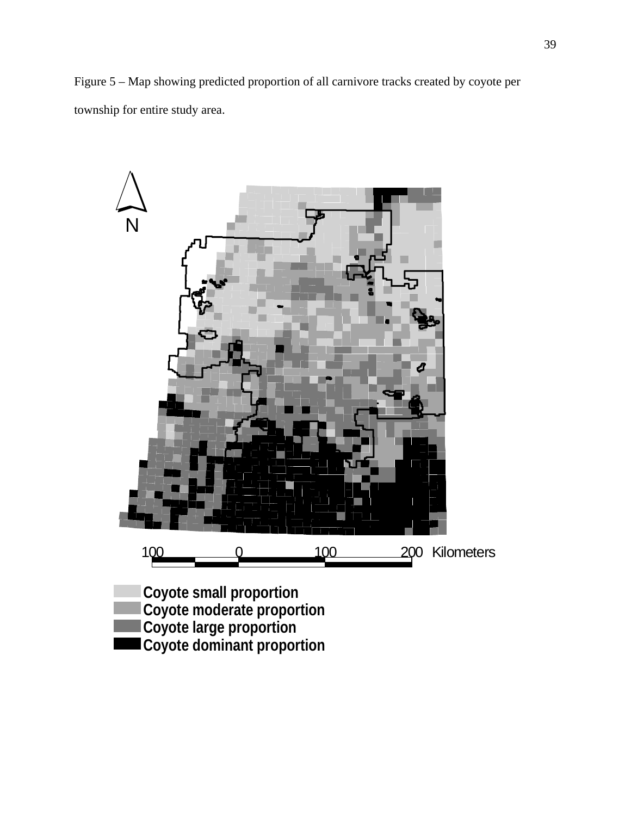Figure 5 – Map showing predicted proportion of all carnivore tracks created by coyote per township for entire study area.

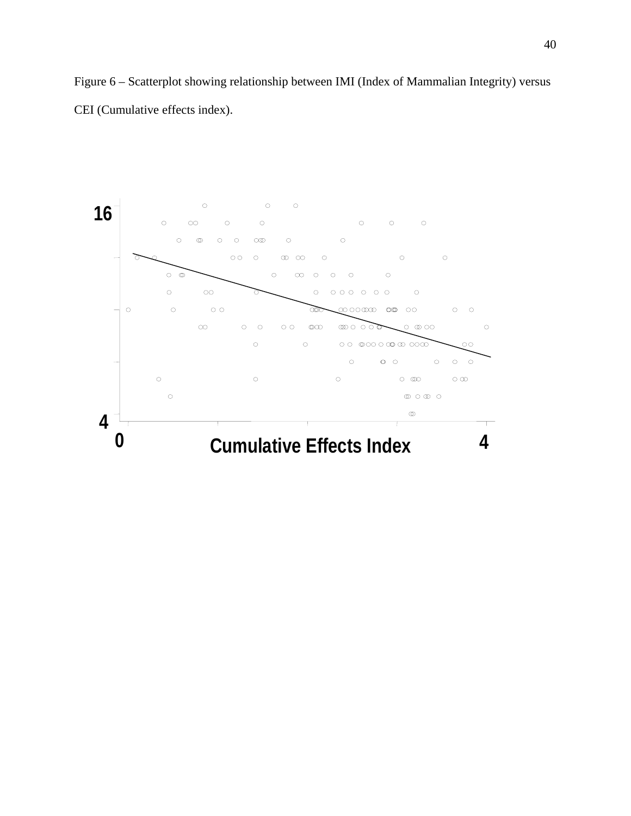Figure 6 – Scatterplot showing relationship between IMI (Index of Mammalian Integrity) versus CEI (Cumulative effects index).

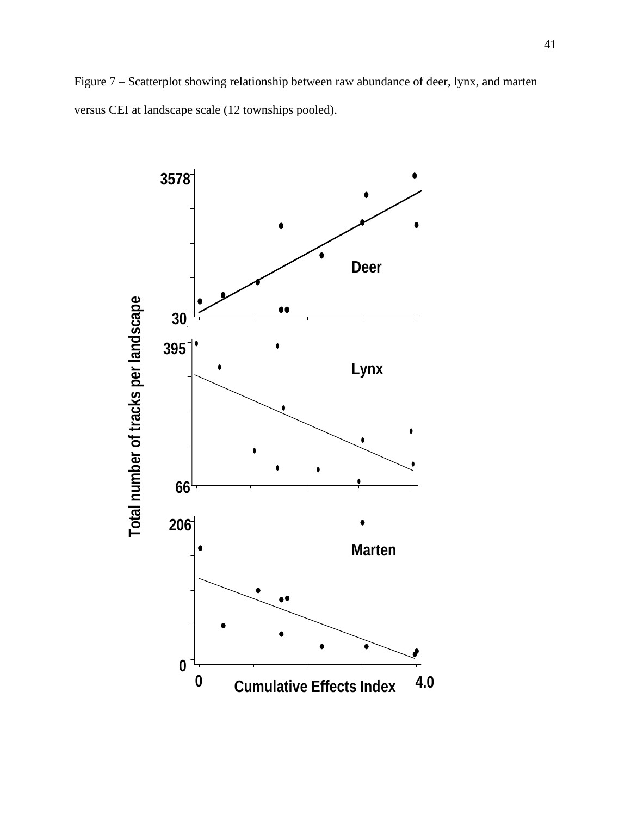Figure 7 – Scatterplot showing relationship between raw abundance of deer, lynx, and marten versus CEI at landscape scale (12 townships pooled).

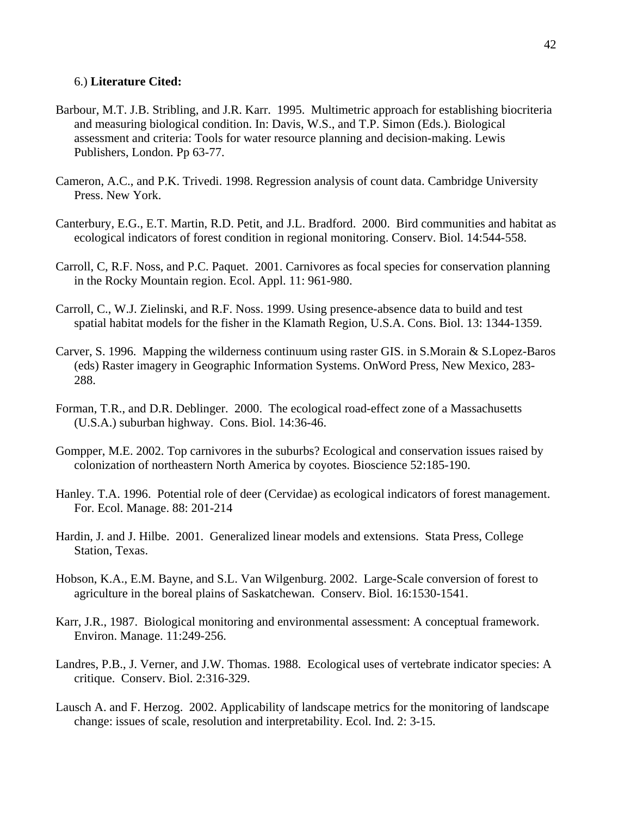# 6.) **Literature Cited:**

- Barbour, M.T. J.B. Stribling, and J.R. Karr. 1995. Multimetric approach for establishing biocriteria and measuring biological condition. In: Davis, W.S., and T.P. Simon (Eds.). Biological assessment and criteria: Tools for water resource planning and decision-making. Lewis Publishers, London. Pp 63-77.
- Cameron, A.C., and P.K. Trivedi. 1998. Regression analysis of count data. Cambridge University Press. New York.
- Canterbury, E.G., E.T. Martin, R.D. Petit, and J.L. Bradford. 2000. Bird communities and habitat as ecological indicators of forest condition in regional monitoring. Conserv. Biol. 14:544-558.
- Carroll, C, R.F. Noss, and P.C. Paquet. 2001. Carnivores as focal species for conservation planning in the Rocky Mountain region. Ecol. Appl. 11: 961-980.
- Carroll, C., W.J. Zielinski, and R.F. Noss. 1999. Using presence-absence data to build and test spatial habitat models for the fisher in the Klamath Region, U.S.A. Cons. Biol. 13: 1344-1359.
- Carver, S. 1996. Mapping the wilderness continuum using raster GIS. in S.Morain & S.Lopez-Baros (eds) Raster imagery in Geographic Information Systems. OnWord Press, New Mexico, 283- 288.
- Forman, T.R., and D.R. Deblinger. 2000. The ecological road-effect zone of a Massachusetts (U.S.A.) suburban highway. Cons. Biol. 14:36-46.
- Gompper, M.E. 2002. Top carnivores in the suburbs? Ecological and conservation issues raised by colonization of northeastern North America by coyotes. Bioscience 52:185-190.
- Hanley. T.A. 1996. Potential role of deer (Cervidae) as ecological indicators of forest management. For. Ecol. Manage. 88: 201-214
- Hardin, J. and J. Hilbe. 2001. Generalized linear models and extensions. Stata Press, College Station, Texas.
- Hobson, K.A., E.M. Bayne, and S.L. Van Wilgenburg. 2002. Large-Scale conversion of forest to agriculture in the boreal plains of Saskatchewan. Conserv. Biol. 16:1530-1541.
- Karr, J.R., 1987. Biological monitoring and environmental assessment: A conceptual framework. Environ. Manage. 11:249-256.
- Landres, P.B., J. Verner, and J.W. Thomas. 1988. Ecological uses of vertebrate indicator species: A critique. Conserv. Biol. 2:316-329.
- Lausch A. and F. Herzog. 2002. Applicability of landscape metrics for the monitoring of landscape change: issues of scale, resolution and interpretability. Ecol. Ind. 2: 3-15.